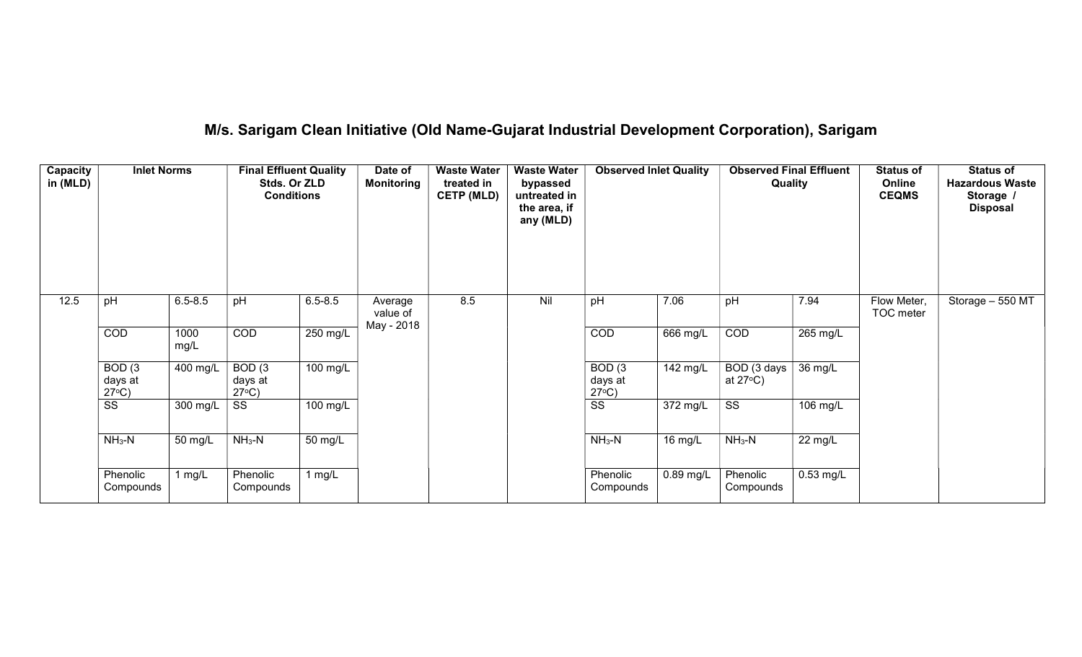# M/s. Sarigam Clean Initiative (Old Name-Gujarat Industrial Development Corporation), Sarigam

| Capacity<br>in (MLD) | <b>Inlet Norms</b>                              |              | <b>Final Effluent Quality</b><br>Stds. Or ZLD<br><b>Conditions</b> |             | Date of<br><b>Monitoring</b> | <b>Waste Water</b><br>treated in<br><b>CETP (MLD)</b> | <b>Waste Water</b><br>bypassed<br>untreated in<br>the area, if<br>any (MLD) | <b>Observed Inlet Quality</b>                   |             | <b>Observed Final Effluent</b><br>Quality |             | <b>Status of</b><br>Online<br><b>CEQMS</b> | <b>Status of</b><br><b>Hazardous Waste</b><br>Storage /<br><b>Disposal</b> |
|----------------------|-------------------------------------------------|--------------|--------------------------------------------------------------------|-------------|------------------------------|-------------------------------------------------------|-----------------------------------------------------------------------------|-------------------------------------------------|-------------|-------------------------------------------|-------------|--------------------------------------------|----------------------------------------------------------------------------|
| 12.5                 | pH                                              | $6.5 - 8.5$  | pH                                                                 | $6.5 - 8.5$ | Average<br>value of          | 8.5                                                   | Nil                                                                         | pH                                              | 7.06        | pH                                        | 7.94        | Flow Meter,<br>TOC meter                   | Storage - 550 MT                                                           |
|                      | COD                                             | 1000<br>mg/L | COD                                                                | 250 mg/L    | May - 2018                   |                                                       |                                                                             | COD                                             | 666 mg/L    | COD                                       | 265 mg/L    |                                            |                                                                            |
|                      | BOD <sub>(3</sub><br>days at<br>$27^{\circ}C$ ) | 400 mg/L     | BOD <sub>(3</sub><br>days at<br>$27^{\circ}C$ )                    | 100 mg/L    |                              |                                                       |                                                                             | BOD <sub>(3</sub><br>days at<br>$27^{\circ}C$ ) | 142 mg/L    | BOD (3 days<br>at $27^{\circ}$ C)         | 36 mg/L     |                                            |                                                                            |
|                      | $\overline{\text{ss}}$                          | 300 mg/L     | SS                                                                 | 100 mg/L    |                              |                                                       |                                                                             | $\overline{\text{ss}}$                          | 372 mg/L    | $\overline{\text{SS}}$                    | 106 mg/L    |                                            |                                                                            |
|                      | $NH3-N$                                         | 50 mg/L      | $NH3-N$                                                            | 50 mg/L     |                              |                                                       |                                                                             | $NH3-N$                                         | 16 mg/L     | $NH3-N$                                   | 22 mg/L     |                                            |                                                                            |
|                      | Phenolic<br>Compounds                           | 1 mg/L       | Phenolic<br>Compounds                                              | 1 $mg/L$    |                              |                                                       |                                                                             | Phenolic<br>Compounds                           | $0.89$ mg/L | Phenolic<br>Compounds                     | $0.53$ mg/L |                                            |                                                                            |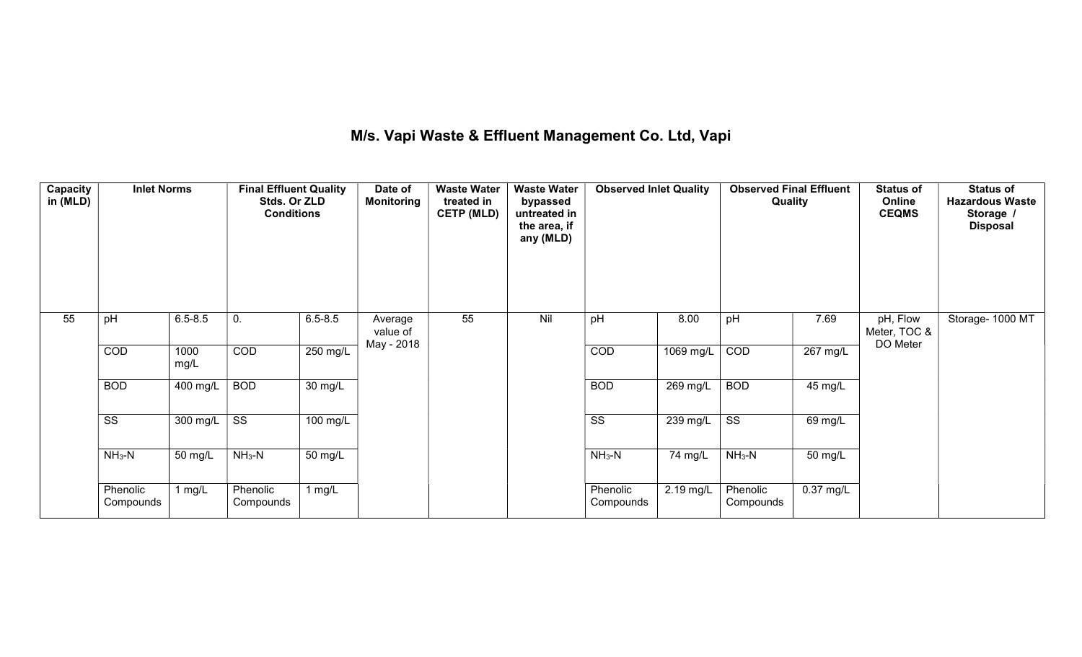## M/s. Vapi Waste & Effluent Management Co. Ltd, Vapi

| Capacity<br>in (MLD) | <b>Inlet Norms</b>    |              | <b>Final Effluent Quality</b><br>Stds. Or ZLD<br><b>Conditions</b> |             | Date of<br>Monitoring             | <b>Waste Water</b><br>treated in<br><b>CETP (MLD)</b> | <b>Waste Water</b><br>bypassed<br>untreated in<br>the area, if<br>any (MLD) | <b>Observed Inlet Quality</b> |           | <b>Observed Final Effluent</b><br>Quality |             | <b>Status of</b><br>Online<br><b>CEQMS</b> | <b>Status of</b><br><b>Hazardous Waste</b><br>Storage /<br><b>Disposal</b> |
|----------------------|-----------------------|--------------|--------------------------------------------------------------------|-------------|-----------------------------------|-------------------------------------------------------|-----------------------------------------------------------------------------|-------------------------------|-----------|-------------------------------------------|-------------|--------------------------------------------|----------------------------------------------------------------------------|
| 55                   | pH                    | $6.5 - 8.5$  | 0.                                                                 | $6.5 - 8.5$ | Average<br>value of<br>May - 2018 | 55                                                    | Nil                                                                         | pH                            | 8.00      | pH                                        | 7.69        | pH, Flow<br>Meter, TOC &<br>DO Meter       | Storage- 1000 MT                                                           |
|                      | COD                   | 1000<br>mg/L | <b>COD</b>                                                         | $250$ mg/L  |                                   |                                                       |                                                                             | COD                           | 1069 mg/L | COD                                       | $267$ mg/L  |                                            |                                                                            |
|                      | <b>BOD</b>            | 400 mg/L     | <b>BOD</b>                                                         | 30 mg/L     |                                   |                                                       |                                                                             | <b>BOD</b>                    | 269 mg/L  | <b>BOD</b>                                | 45 mg/L     |                                            |                                                                            |
|                      | SS                    | 300 mg/L     | SS                                                                 | 100 mg/L    |                                   |                                                       |                                                                             | SS                            | 239 mg/L  | SS                                        | 69 mg/L     |                                            |                                                                            |
|                      | $NH3-N$               | 50 mg/L      | $NH3-N$                                                            | 50 mg/L     |                                   |                                                       |                                                                             | $NH3-N$                       | 74 mg/L   | $NH_3-N$                                  | 50 mg/L     |                                            |                                                                            |
|                      | Phenolic<br>Compounds | 1 $mg/L$     | Phenolic<br>Compounds                                              | 1 $mg/L$    |                                   |                                                       |                                                                             | Phenolic<br>Compounds         | 2.19 mg/L | Phenolic<br>Compounds                     | $0.37$ mg/L |                                            |                                                                            |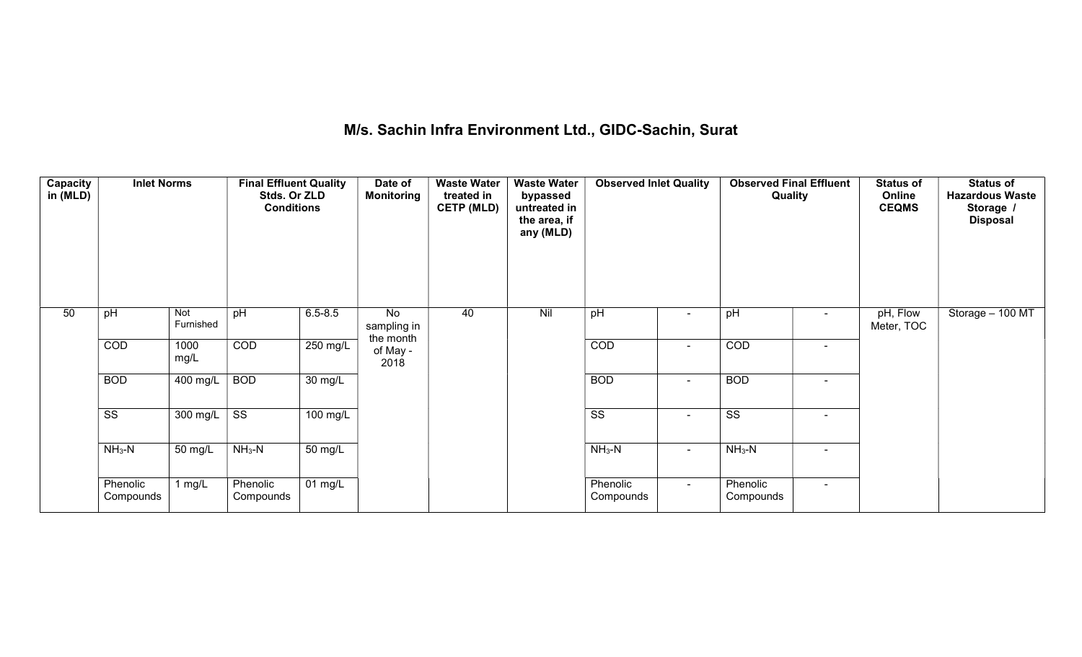## M/s. Sachin Infra Environment Ltd., GIDC-Sachin, Surat

| Capacity<br>in (MLD) | <b>Inlet Norms</b>    |                  | <b>Final Effluent Quality</b><br>Stds. Or ZLD<br><b>Conditions</b> |                   | Date of<br>Monitoring          | <b>Waste Water</b><br>treated in<br><b>CETP (MLD)</b> | <b>Waste Water</b><br>bypassed<br>untreated in<br>the area, if<br>any (MLD) | <b>Observed Inlet Quality</b> |        | <b>Observed Final Effluent</b><br>Quality |                | <b>Status of</b><br>Online<br><b>CEQMS</b> | <b>Status of</b><br><b>Hazardous Waste</b><br>Storage /<br><b>Disposal</b> |
|----------------------|-----------------------|------------------|--------------------------------------------------------------------|-------------------|--------------------------------|-------------------------------------------------------|-----------------------------------------------------------------------------|-------------------------------|--------|-------------------------------------------|----------------|--------------------------------------------|----------------------------------------------------------------------------|
| 50                   | pH                    | Not<br>Furnished | pH                                                                 | $6.5 - 8.5$       | No<br>sampling in<br>the month | 40                                                    | Nil                                                                         | pH                            | ۰      | pH                                        |                | pH, Flow<br>Meter, TOC                     | Storage $-100$ MT                                                          |
|                      | COD                   | 1000<br>mg/L     | COD                                                                | $250$ mg/L        | of May -<br>2018               |                                                       |                                                                             | COD                           | $\sim$ | COD                                       | $\blacksquare$ |                                            |                                                                            |
|                      | <b>BOD</b>            | 400 mg/L         | <b>BOD</b>                                                         | 30 mg/L           |                                |                                                       |                                                                             | <b>BOD</b>                    | $\sim$ | <b>BOD</b>                                | $\sim$         |                                            |                                                                            |
|                      | SS                    | 300 mg/L         | $\overline{\text{ss}}$                                             | 100 mg/L          |                                |                                                       |                                                                             | $\overline{\text{ss}}$        | $\sim$ | $\overline{\text{ss}}$                    | $\sim$         |                                            |                                                                            |
|                      | $NH3-N$               | 50 mg/L          | $NH3-N$                                                            | 50 mg/L           |                                |                                                       |                                                                             | $NH3-N$                       | $\sim$ | $NH_3-N$                                  | $\blacksquare$ |                                            |                                                                            |
|                      | Phenolic<br>Compounds | 1 $mg/L$         | Phenolic<br>Compounds                                              | $01 \text{ mg/L}$ |                                |                                                       |                                                                             | Phenolic<br>Compounds         | $\sim$ | Phenolic<br>Compounds                     | $\sim$         |                                            |                                                                            |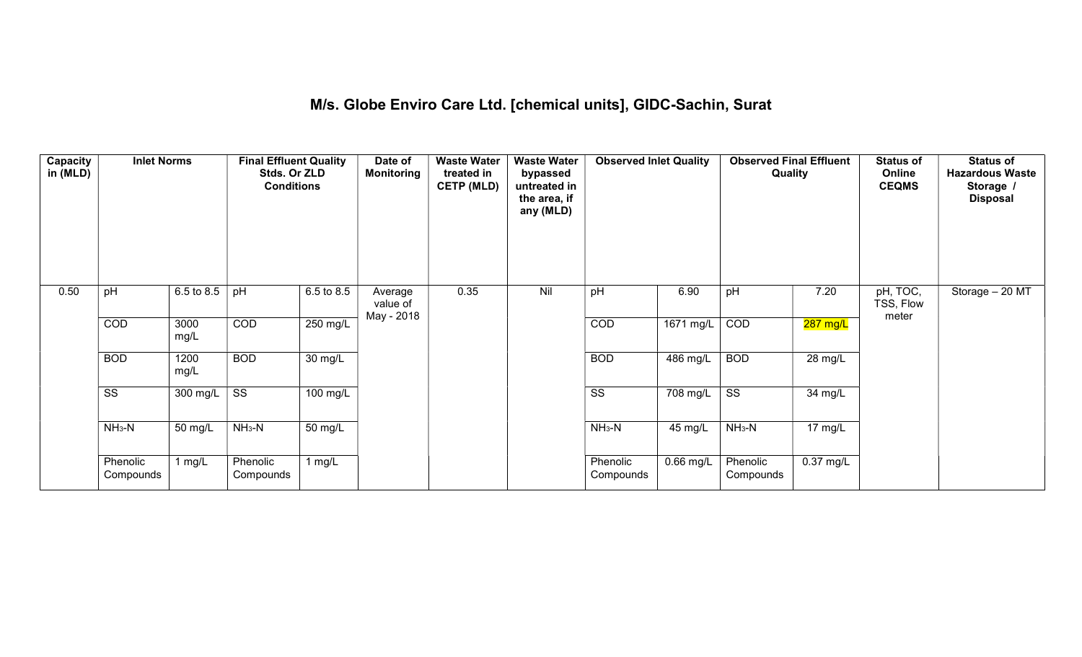## M/s. Globe Enviro Care Ltd. [chemical units], GIDC-Sachin, Surat

| Capacity<br>in (MLD) | <b>Inlet Norms</b>     |              | <b>Final Effluent Quality</b><br>Stds. Or ZLD<br><b>Conditions</b> |                    | Date of<br><b>Monitoring</b>      | <b>Waste Water</b><br>treated in<br><b>CETP (MLD)</b> | <b>Waste Water</b><br>bypassed<br>untreated in<br>the area, if<br>any (MLD) | <b>Observed Inlet Quality</b> |           | <b>Observed Final Effluent</b><br>Quality |                       | <b>Status of</b><br>Online<br><b>CEQMS</b> | <b>Status of</b><br><b>Hazardous Waste</b><br>Storage /<br><b>Disposal</b> |
|----------------------|------------------------|--------------|--------------------------------------------------------------------|--------------------|-----------------------------------|-------------------------------------------------------|-----------------------------------------------------------------------------|-------------------------------|-----------|-------------------------------------------|-----------------------|--------------------------------------------|----------------------------------------------------------------------------|
| 0.50                 | pH                     | 6.5 to 8.5   | pH                                                                 | 6.5 to 8.5         | Average<br>value of<br>May - 2018 | 0.35                                                  | Nil                                                                         | pH                            | 6.90      | pH                                        | 7.20                  | pH, TOC,<br>TSS, Flow<br>meter             | Storage $-20$ MT                                                           |
|                      | COD                    | 3000<br>mg/L | COD                                                                | 250 mg/L           |                                   |                                                       |                                                                             | COD                           | 1671 mg/L | COD                                       | <mark>287 mg/L</mark> |                                            |                                                                            |
|                      | <b>BOD</b>             | 1200<br>mg/L | <b>BOD</b>                                                         | 30 mg/L            |                                   |                                                       |                                                                             | <b>BOD</b>                    | 486 mg/L  | <b>BOD</b>                                | 28 mg/L               |                                            |                                                                            |
|                      | $\overline{\text{SS}}$ | 300 mg/L     | $\overline{\text{ss}}$                                             | $100 \text{ mg/L}$ |                                   |                                                       |                                                                             | $\overline{\text{SS}}$        | 708 mg/L  | $\overline{\text{ss}}$                    | 34 mg/L               |                                            |                                                                            |
|                      | $NH3-N$                | 50 mg/L      | $NH_3-N$                                                           | 50 mg/L            |                                   |                                                       |                                                                             | $NH_3-N$                      | 45 mg/L   | $NH3-N$                                   | 17 mg/L               |                                            |                                                                            |
|                      | Phenolic<br>Compounds  | 1 $mg/L$     | Phenolic<br>Compounds                                              | 1 $mg/L$           |                                   |                                                       |                                                                             | Phenolic<br>Compounds         | 0.66 mg/L | Phenolic<br>Compounds                     | $0.37$ mg/L           |                                            |                                                                            |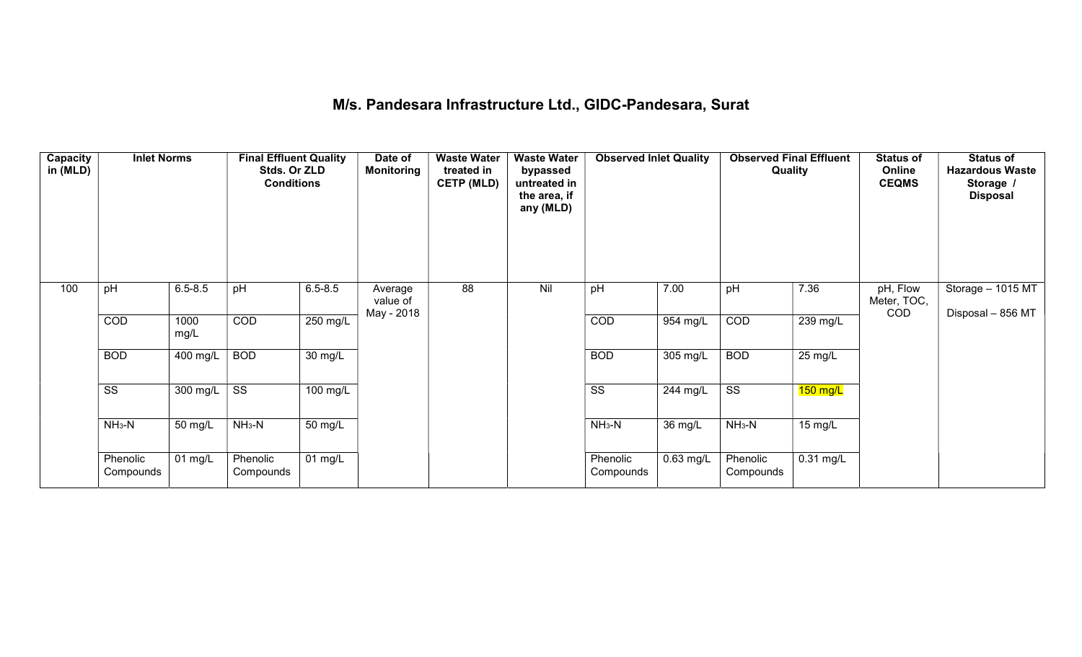## M/s. Pandesara Infrastructure Ltd., GIDC-Pandesara, Surat

| Capacity<br>in (MLD) | <b>Inlet Norms</b>     |                       | <b>Final Effluent Quality</b><br>Stds. Or ZLD<br><b>Conditions</b> |             | Date of<br>Monitoring             | <b>Waste Water</b><br>treated in<br><b>CETP (MLD)</b> | <b>Waste Water</b><br>bypassed<br>untreated in<br>the area, if<br>any (MLD) | <b>Observed Inlet Quality</b> |           | <b>Observed Final Effluent</b><br>Quality |                     | <b>Status of</b><br>Online<br><b>CEQMS</b> | <b>Status of</b><br><b>Hazardous Waste</b><br>Storage /<br><b>Disposal</b> |
|----------------------|------------------------|-----------------------|--------------------------------------------------------------------|-------------|-----------------------------------|-------------------------------------------------------|-----------------------------------------------------------------------------|-------------------------------|-----------|-------------------------------------------|---------------------|--------------------------------------------|----------------------------------------------------------------------------|
| 100                  | pH                     | $6.5 - 8.5$           | pH                                                                 | $6.5 - 8.5$ | Average<br>value of<br>May - 2018 | 88                                                    | Nil                                                                         | pH                            | 7.00      | pH                                        | 7.36                | pH, Flow<br>Meter, TOC,<br><b>COD</b>      | Storage - 1015 MT<br>Disposal - 856 MT                                     |
|                      | COD                    | 1000<br>mg/L          | COD                                                                | 250 mg/L    |                                   |                                                       |                                                                             | COD                           | 954 mg/L  | COD                                       | $239$ mg/L          |                                            |                                                                            |
|                      | <b>BOD</b>             | 400 mg/L              | <b>BOD</b>                                                         | 30 mg/L     |                                   |                                                       |                                                                             | <b>BOD</b>                    | 305 mg/L  | <b>BOD</b>                                | $25 \text{ mg/L}$   |                                            |                                                                            |
|                      | $\overline{\text{ss}}$ | 300 mg/L              | $\overline{\text{ss}}$                                             | 100 mg/L    |                                   |                                                       |                                                                             | $\overline{\text{ss}}$        | 244 mg/L  | $\overline{\text{ss}}$                    | $150$ mg/L          |                                            |                                                                            |
|                      | $NH3-N$                | 50 mg/L               | $NH3-N$                                                            | 50 mg/L     |                                   |                                                       |                                                                             | $NH3-N$                       | 36 mg/L   | $NH3-N$                                   | 15 mg/L             |                                            |                                                                            |
|                      | Phenolic<br>Compounds  | $\overline{0}$ 1 mg/L | Phenolic<br>Compounds                                              | 01 mg/L     |                                   |                                                       |                                                                             | Phenolic<br>Compounds         | 0.63 mg/L | Phenolic<br>Compounds                     | $0.31 \text{ mg/L}$ |                                            |                                                                            |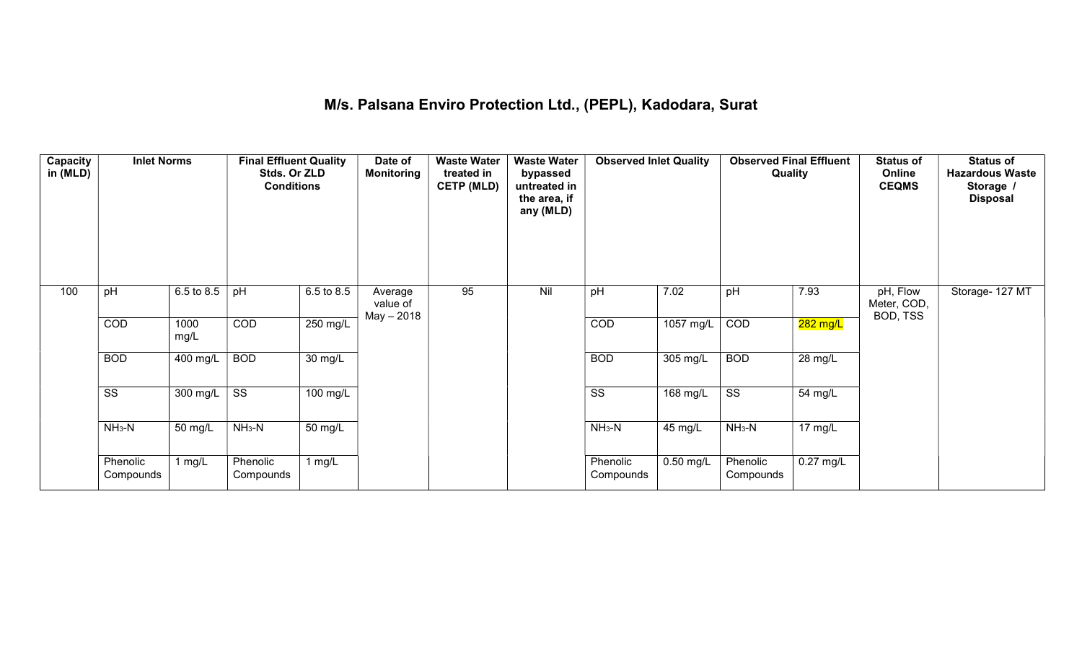#### M/s. Palsana Enviro Protection Ltd., (PEPL), Kadodara, Surat

| Capacity<br>in (MLD) | <b>Inlet Norms</b>     |              | <b>Final Effluent Quality</b><br>Stds. Or ZLD<br><b>Conditions</b> |                   | Date of<br><b>Monitoring</b>      | <b>Waste Water</b><br>treated in<br><b>CETP (MLD)</b> | <b>Waste Water</b><br>bypassed<br>untreated in<br>the area, if<br>any (MLD) | <b>Observed Inlet Quality</b> |                    | <b>Observed Final Effluent</b><br>Quality |             | <b>Status of</b><br>Online<br><b>CEQMS</b> | <b>Status of</b><br><b>Hazardous Waste</b><br>Storage /<br><b>Disposal</b> |
|----------------------|------------------------|--------------|--------------------------------------------------------------------|-------------------|-----------------------------------|-------------------------------------------------------|-----------------------------------------------------------------------------|-------------------------------|--------------------|-------------------------------------------|-------------|--------------------------------------------|----------------------------------------------------------------------------|
| 100                  | pH                     | 6.5 to 8.5   | pH                                                                 | 6.5 to 8.5        | Average<br>value of<br>May - 2018 | 95                                                    | Nil                                                                         | pH                            | 7.02               | pH                                        | 7.93        | pH, Flow<br>Meter, COD,<br>BOD, TSS        | Storage- 127 MT                                                            |
|                      | COD                    | 1000<br>mg/L | COD                                                                | 250 mg/L          |                                   |                                                       |                                                                             | COD                           | 1057 mg/L          | COD                                       | 282 mg/L    |                                            |                                                                            |
|                      | <b>BOD</b>             | 400 mg/L     | <b>BOD</b>                                                         | $30 \text{ mg/L}$ |                                   |                                                       |                                                                             | <b>BOD</b>                    | $305 \text{ mg/L}$ | <b>BOD</b>                                | 28 mg/L     |                                            |                                                                            |
|                      | $\overline{\text{ss}}$ | 300 mg/L     | $\overline{\text{ss}}$                                             | $100$ mg/L        |                                   |                                                       |                                                                             | $\overline{\text{ss}}$        | 168 mg/L           | $\overline{\text{ss}}$                    | 54 mg/L     |                                            |                                                                            |
|                      | $NH3-N$                | 50 mg/L      | $NH3-N$                                                            | 50 mg/L           |                                   |                                                       |                                                                             | $NH3-N$                       | 45 mg/L            | $NH3-N$                                   | 17 mg/L     |                                            |                                                                            |
|                      | Phenolic<br>Compounds  | 1 mg/ $L$    | Phenolic<br>Compounds                                              | 1 mg/L            |                                   |                                                       |                                                                             | Phenolic<br>Compounds         | $0.50$ mg/L        | Phenolic<br>Compounds                     | $0.27$ mg/L |                                            |                                                                            |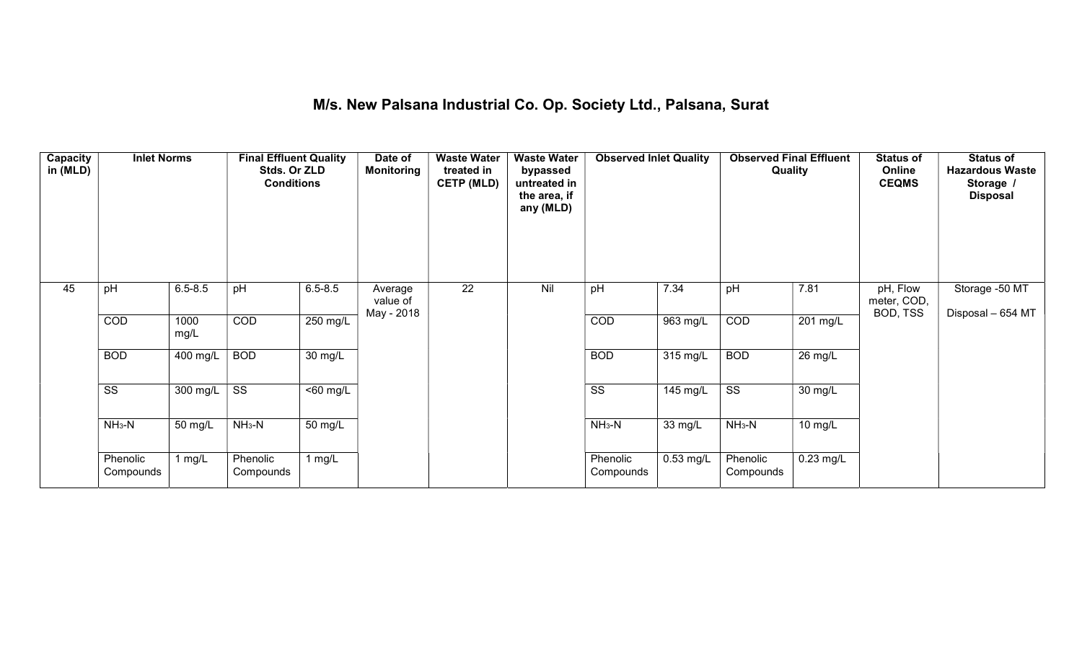#### M/s. New Palsana Industrial Co. Op. Society Ltd., Palsana, Surat

| Capacity<br>in (MLD) | <b>Inlet Norms</b>     |                       | <b>Final Effluent Quality</b><br>Stds. Or ZLD<br><b>Conditions</b> |                       | Date of<br><b>Monitoring</b>      | <b>Waste Water</b><br>treated in<br><b>CETP (MLD)</b> | <b>Waste Water</b><br>bypassed<br>untreated in<br>the area, if<br>any (MLD) | <b>Observed Inlet Quality</b> |                       | <b>Observed Final Effluent</b><br><b>Quality</b> |                      | <b>Status of</b><br>Online<br><b>CEQMS</b> | <b>Status of</b><br><b>Hazardous Waste</b><br>Storage /<br><b>Disposal</b> |
|----------------------|------------------------|-----------------------|--------------------------------------------------------------------|-----------------------|-----------------------------------|-------------------------------------------------------|-----------------------------------------------------------------------------|-------------------------------|-----------------------|--------------------------------------------------|----------------------|--------------------------------------------|----------------------------------------------------------------------------|
| 45                   | pH                     | $6.5 - 8.5$           | pH                                                                 | $6.5 - 8.5$           | Average<br>value of<br>May - 2018 | $\overline{22}$                                       | Nil                                                                         | pH                            | 7.34                  | pH                                               | 7.81                 | pH, Flow<br>meter, COD,<br>BOD, TSS        | Storage -50 MT<br>Disposal - 654 MT                                        |
|                      | COD                    | 1000<br>mg/L          | COD                                                                | $250$ mg/L            |                                   |                                                       |                                                                             | COD                           | 963 mg/L              | COD                                              | $201 \text{ mg/L}$   |                                            |                                                                            |
|                      | <b>BOD</b>             | $\overline{400}$ mg/L | <b>BOD</b>                                                         | $\overline{30}$ mg/L  |                                   |                                                       |                                                                             | <b>BOD</b>                    | 315 mg/L              | <b>BOD</b>                                       | $\overline{26}$ mg/L |                                            |                                                                            |
|                      | $\overline{\text{ss}}$ | 300 mg/L              | $\overline{\text{ss}}$                                             | $\overline{560}$ mg/L |                                   |                                                       |                                                                             | $\overline{\text{ss}}$        | $\overline{145}$ mg/L | $\overline{\text{ss}}$                           | 30 mg/L              |                                            |                                                                            |
|                      | $NH3-N$                | 50 mg/L               | $NH_3-N$                                                           | 50 mg/L               |                                   |                                                       |                                                                             | $NH3-N$                       | 33 mg/L               | $NH_3-N$                                         | 10 mg/L              |                                            |                                                                            |
|                      | Phenolic<br>Compounds  | 1 mg/ $L$             | Phenolic<br>Compounds                                              | 1 mg/L                |                                   |                                                       |                                                                             | Phenolic<br>Compounds         | $0.53$ mg/L           | Phenolic<br>Compounds                            | $0.23$ mg/L          |                                            |                                                                            |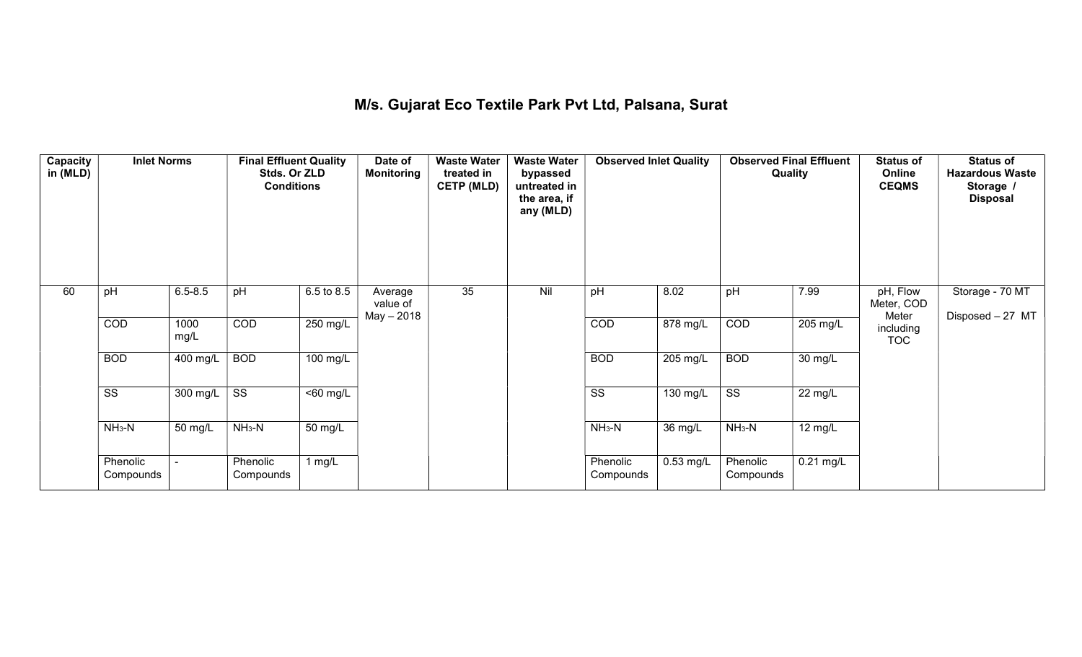#### M/s. Gujarat Eco Textile Park Pvt Ltd, Palsana, Surat

| Capacity<br>in (MLD) | <b>Inlet Norms</b>     |                  | <b>Final Effluent Quality</b><br>Stds. Or ZLD<br><b>Conditions</b> |                       | Date of<br><b>Monitoring</b>      | <b>Waste Water</b><br>treated in<br><b>CETP (MLD)</b> | <b>Waste Water</b><br>bypassed<br>untreated in<br>the area, if<br>any (MLD) | <b>Observed Inlet Quality</b> |             | Quality                | <b>Observed Final Effluent</b> | <b>Status of</b><br>Online<br><b>CEQMS</b> | <b>Status of</b><br><b>Hazardous Waste</b><br>Storage /<br><b>Disposal</b> |
|----------------------|------------------------|------------------|--------------------------------------------------------------------|-----------------------|-----------------------------------|-------------------------------------------------------|-----------------------------------------------------------------------------|-------------------------------|-------------|------------------------|--------------------------------|--------------------------------------------|----------------------------------------------------------------------------|
| 60                   | pH                     | $6.5 - 8.5$      | pH                                                                 | 6.5 to 8.5            | Average<br>value of<br>May - 2018 | 35                                                    | Nil                                                                         | pH                            | 8.02        | pH                     | 7.99                           | pH, Flow<br>Meter, COD<br>Meter            | Storage - 70 MT<br>Disposed - 27 MT                                        |
|                      | COD                    | 1000<br>mg/L     | COD                                                                | 250 mg/L              |                                   |                                                       |                                                                             | COD                           | 878 mg/L    | COD                    | $205 \text{ mg/L}$             | including<br><b>TOC</b>                    |                                                                            |
|                      | <b>BOD</b>             | 400 mg/L         | <b>BOD</b>                                                         | 100 mg/L              |                                   |                                                       |                                                                             | <b>BOD</b>                    | 205 mg/L    | <b>BOD</b>             | 30 mg/L                        |                                            |                                                                            |
|                      | $\overline{\text{ss}}$ | 300 mg/L $\vert$ | $\overline{\text{ss}}$                                             | $\overline{560}$ mg/L |                                   |                                                       |                                                                             | $\overline{\text{ss}}$        | $130$ mg/L  | $\overline{\text{ss}}$ | 22 mg/L                        |                                            |                                                                            |
|                      | $NH3-N$                | 50 mg/L          | $NH_3-N$                                                           | 50 mg/L               |                                   |                                                       |                                                                             | $NH_3-N$                      | 36 mg/L     | $NH3-N$                | 12 mg/L                        |                                            |                                                                            |
|                      | Phenolic<br>Compounds  |                  | Phenolic<br>Compounds                                              | 1 $mg/L$              |                                   |                                                       |                                                                             | Phenolic<br>Compounds         | $0.53$ mg/L | Phenolic<br>Compounds  | $0.21$ mg/L                    |                                            |                                                                            |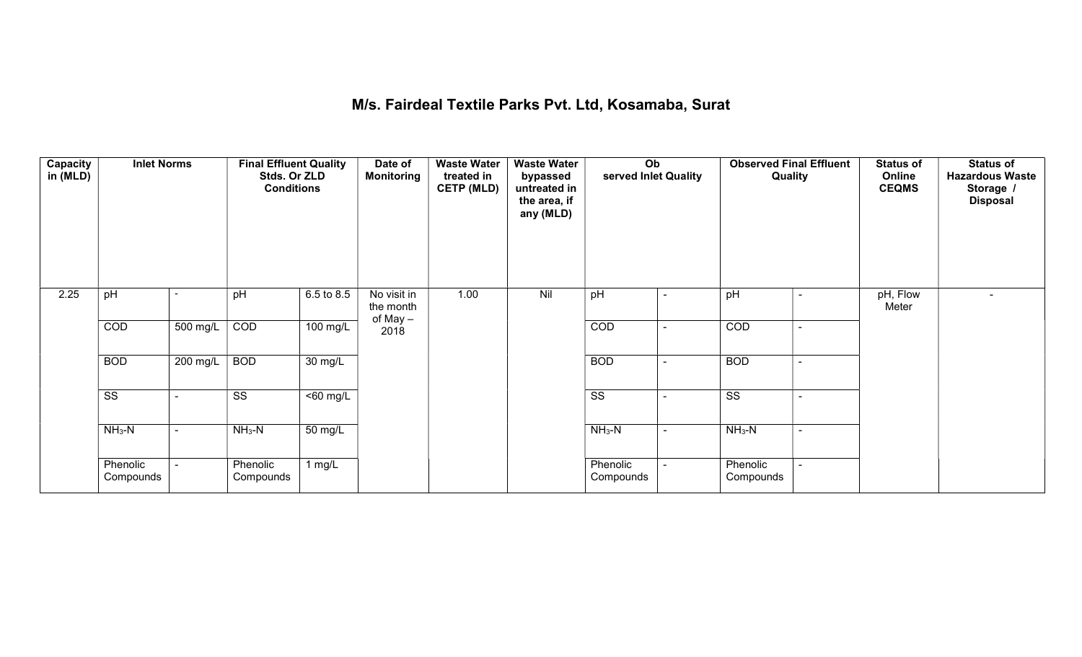## M/s. Fairdeal Textile Parks Pvt. Ltd, Kosamaba, Surat

| Capacity<br>in (MLD) | <b>Inlet Norms</b>     |                          | <b>Final Effluent Quality</b><br>Stds. Or ZLD<br><b>Conditions</b> |                      | Date of<br><b>Monitoring</b>         | <b>Waste Water</b><br>treated in<br><b>CETP (MLD)</b> | <b>Waste Water</b><br>bypassed<br>untreated in<br>the area, if<br>any (MLD) | Ob<br>served Inlet Quality |                          | <b>Observed Final Effluent</b><br>Quality |                | <b>Status of</b><br>Online<br><b>CEQMS</b> | <b>Status of</b><br><b>Hazardous Waste</b><br>Storage /<br><b>Disposal</b> |
|----------------------|------------------------|--------------------------|--------------------------------------------------------------------|----------------------|--------------------------------------|-------------------------------------------------------|-----------------------------------------------------------------------------|----------------------------|--------------------------|-------------------------------------------|----------------|--------------------------------------------|----------------------------------------------------------------------------|
| 2.25                 | pH                     |                          | pH                                                                 | 6.5 to 8.5           | No visit in<br>the month<br>of May - | 1.00                                                  | Nil                                                                         | pH                         | ۰                        | pH                                        | $\blacksquare$ | pH, Flow<br>Meter                          |                                                                            |
|                      | COD                    | 500 mg/L                 | COD                                                                | 100 mg/L             | 2018                                 |                                                       |                                                                             | COD                        | $\blacksquare$           | COD                                       | $\blacksquare$ |                                            |                                                                            |
|                      | <b>BOD</b>             | 200 mg/L                 | <b>BOD</b>                                                         | $\overline{30}$ mg/L |                                      |                                                       |                                                                             | <b>BOD</b>                 | $\overline{\phantom{a}}$ | <b>BOD</b>                                | ۰              |                                            |                                                                            |
|                      | $\overline{\text{ss}}$ | $\overline{\phantom{0}}$ | $\overline{\text{ss}}$                                             | $50$ mg/L            |                                      |                                                       |                                                                             | $\overline{\text{ss}}$     | $\blacksquare$           | $\overline{\text{ss}}$                    | $\sim$         |                                            |                                                                            |
|                      | $NH3-N$                | $\blacksquare$           | $NH3-N$                                                            | 50 mg/L              |                                      |                                                       |                                                                             | $NH3-N$                    | $\sim$                   | $NH3-N$                                   | $\blacksquare$ |                                            |                                                                            |
|                      | Phenolic<br>Compounds  |                          | Phenolic<br>Compounds                                              | 1 $mg/L$             |                                      |                                                       |                                                                             | Phenolic<br>Compounds      |                          | Phenolic<br>Compounds                     |                |                                            |                                                                            |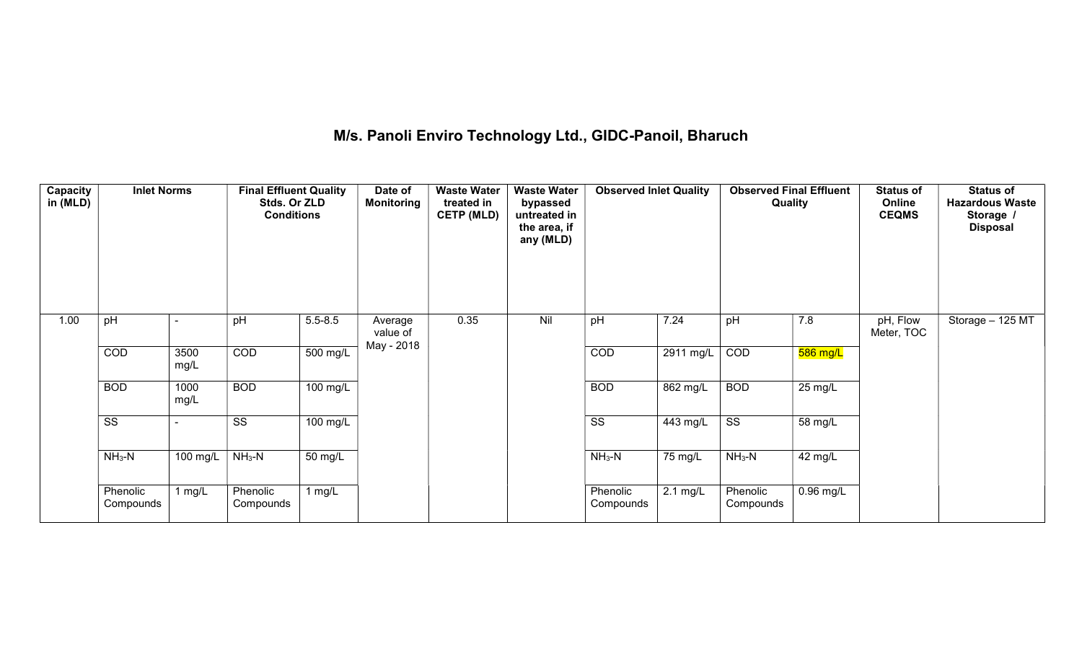## M/s. Panoli Enviro Technology Ltd., GIDC-Panoil, Bharuch

| Capacity<br>in (MLD) | <b>Inlet Norms</b>     |              | <b>Final Effluent Quality</b><br>Stds. Or ZLD<br><b>Conditions</b> |             | Date of<br>Monitoring | <b>Waste Water</b><br>treated in<br><b>CETP (MLD)</b> | <b>Waste Water</b><br>bypassed<br>untreated in<br>the area, if<br>any (MLD) | <b>Observed Inlet Quality</b> |                       | <b>Observed Final Effluent</b><br>Quality |             | <b>Status of</b><br>Online<br><b>CEQMS</b> | <b>Status of</b><br><b>Hazardous Waste</b><br>Storage /<br><b>Disposal</b> |
|----------------------|------------------------|--------------|--------------------------------------------------------------------|-------------|-----------------------|-------------------------------------------------------|-----------------------------------------------------------------------------|-------------------------------|-----------------------|-------------------------------------------|-------------|--------------------------------------------|----------------------------------------------------------------------------|
| 1.00                 | pH                     |              | pH                                                                 | $5.5 - 8.5$ | Average<br>value of   | 0.35                                                  | Nil                                                                         | pH                            | 7.24                  | pH                                        | 7.8         | pH, Flow<br>Meter, TOC                     | Storage - 125 MT                                                           |
|                      | COD                    | 3500<br>mg/L | COD                                                                | 500 mg/L    | May - 2018            |                                                       |                                                                             | COD                           | $2911$ mg/L           | COD                                       | $586$ mg/L  |                                            |                                                                            |
|                      | <b>BOD</b>             | 1000<br>mg/L | <b>BOD</b>                                                         | 100 mg/L    |                       |                                                       |                                                                             | <b>BOD</b>                    | $862$ mg/L            | <b>BOD</b>                                | 25 mg/L     |                                            |                                                                            |
|                      | $\overline{\text{ss}}$ |              | $\overline{\text{ss}}$                                             | 100 mg/L    |                       |                                                       |                                                                             | $\overline{\text{ss}}$        | $\overline{44}3$ mg/L | $\overline{\text{ss}}$                    | 58 mg/L     |                                            |                                                                            |
|                      | $NH3-N$                | 100 mg/L     | $NH3-N$                                                            | 50 mg/L     |                       |                                                       |                                                                             | $NH3-N$                       | 75 mg/L               | $NH3-N$                                   | 42 mg/L     |                                            |                                                                            |
|                      | Phenolic<br>Compounds  | 1 $mg/L$     | Phenolic<br>Compounds                                              | 1 $mg/L$    |                       |                                                       |                                                                             | Phenolic<br>Compounds         | $2.1 \text{ mg/L}$    | Phenolic<br>Compounds                     | $0.96$ mg/L |                                            |                                                                            |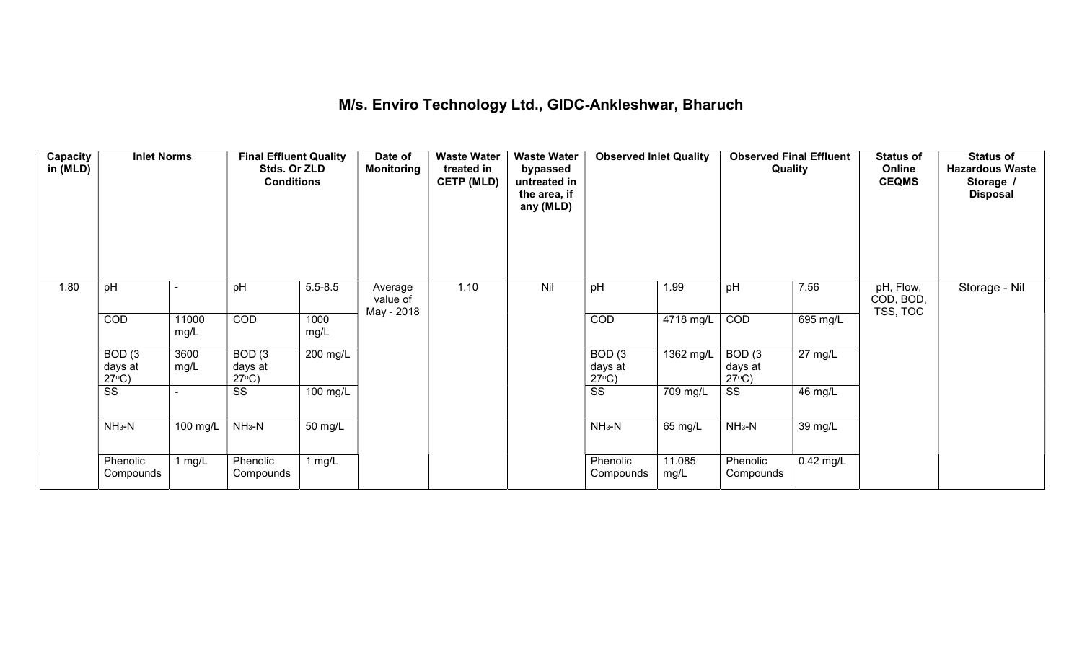## M/s. Enviro Technology Ltd., GIDC-Ankleshwar, Bharuch

| Capacity<br>in (MLD) | <b>Inlet Norms</b>                   |               | <b>Final Effluent Quality</b><br>Stds. Or ZLD<br><b>Conditions</b> |              | Date of<br>Monitoring             | <b>Waste Water</b><br>treated in<br><b>CETP (MLD)</b> | <b>Waste Water</b><br>bypassed<br>untreated in<br>the area, if<br>any (MLD) | <b>Observed Inlet Quality</b>        |                | Quality                              | <b>Observed Final Effluent</b> | <b>Status of</b><br>Online<br><b>CEQMS</b> | <b>Status of</b><br><b>Hazardous Waste</b><br>Storage /<br><b>Disposal</b> |
|----------------------|--------------------------------------|---------------|--------------------------------------------------------------------|--------------|-----------------------------------|-------------------------------------------------------|-----------------------------------------------------------------------------|--------------------------------------|----------------|--------------------------------------|--------------------------------|--------------------------------------------|----------------------------------------------------------------------------|
| 1.80                 | pH                                   |               | pH                                                                 | $5.5 - 8.5$  | Average<br>value of<br>May - 2018 | 1.10                                                  | Nil                                                                         | pH                                   | 1.99           | pH                                   | 7.56                           | pH, Flow,<br>COD, BOD,<br>TSS, TOC         | Storage - Nil                                                              |
|                      | COD                                  | 11000<br>mg/L | <b>COD</b>                                                         | 1000<br>mg/L |                                   |                                                       |                                                                             | COD                                  | 4718 mg/L      | COD                                  | 695 mg/L                       |                                            |                                                                            |
|                      | BOD(3)<br>days at<br>$27^{\circ}C$ ) | 3600<br>mg/L  | BOD(3)<br>days at<br>$27^{\circ}C$ )                               | 200 mg/L     |                                   |                                                       |                                                                             | BOD(3)<br>days at<br>$27^{\circ}C$ ) | 1362 mg/L      | BOD(3)<br>days at<br>$27^{\circ}C$ ) | $27 \text{ mg/L}$              |                                            |                                                                            |
|                      | $\overline{\text{ss}}$               |               | SS                                                                 | 100 mg/L     |                                   |                                                       |                                                                             | $\overline{\text{ss}}$               | 709 mg/L       | $\overline{\text{ss}}$               | 46 mg/L                        |                                            |                                                                            |
|                      | $NH3-N$                              | 100 mg/L      | $NH3-N$                                                            | 50 mg/L      |                                   |                                                       |                                                                             | $NH3-N$                              | 65 mg/L        | $NH3-N$                              | 39 mg/L                        |                                            |                                                                            |
|                      | Phenolic<br>Compounds                | 1 mg/ $L$     | Phenolic<br>Compounds                                              | 1 $mg/L$     |                                   |                                                       |                                                                             | Phenolic<br>Compounds                | 11.085<br>mg/L | Phenolic<br>Compounds                | $0.42$ mg/L                    |                                            |                                                                            |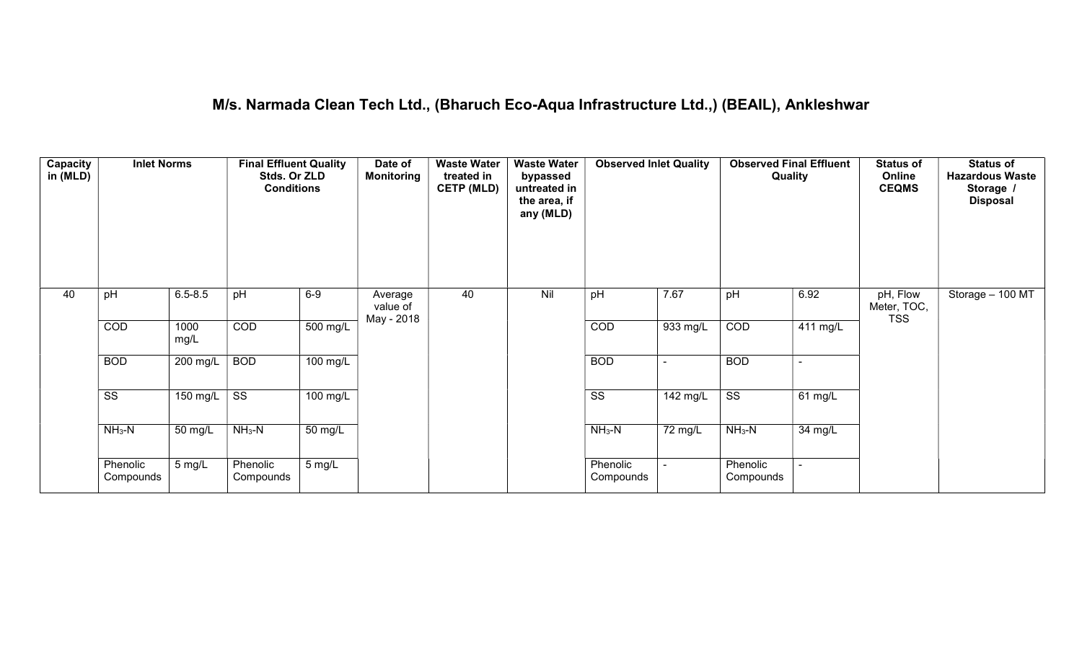#### M/s. Narmada Clean Tech Ltd., (Bharuch Eco-Aqua Infrastructure Ltd.,) (BEAIL), Ankleshwar

| Capacity<br>in (MLD) | <b>Inlet Norms</b>     |              | <b>Final Effluent Quality</b><br>Stds. Or ZLD<br><b>Conditions</b> |                    | Date of<br><b>Monitoring</b>      | <b>Waste Water</b><br>treated in<br><b>CETP (MLD)</b> | <b>Waste Water</b><br>bypassed<br>untreated in<br>the area, if<br>any (MLD) | <b>Observed Inlet Quality</b> |          | <b>Observed Final Effluent</b><br>Quality |                | <b>Status of</b><br>Online<br><b>CEQMS</b> | <b>Status of</b><br><b>Hazardous Waste</b><br>Storage<br><b>Disposal</b> |
|----------------------|------------------------|--------------|--------------------------------------------------------------------|--------------------|-----------------------------------|-------------------------------------------------------|-----------------------------------------------------------------------------|-------------------------------|----------|-------------------------------------------|----------------|--------------------------------------------|--------------------------------------------------------------------------|
| 40                   | pH                     | $6.5 - 8.5$  | pH                                                                 | $6-9$              | Average<br>value of<br>May - 2018 | 40                                                    | Nil                                                                         | pH                            | 7.67     | pH                                        | 6.92           | pH, Flow<br>Meter, TOC,<br><b>TSS</b>      | Storage $-100$ MT                                                        |
|                      | COD                    | 1000<br>mg/L | COD                                                                | 500 mg/L           |                                   |                                                       |                                                                             | COD                           | 933 mg/L | COD                                       | 411 mg/L       |                                            |                                                                          |
|                      | <b>BOD</b>             | 200 mg/L     | <b>BOD</b>                                                         | $100 \text{ mg/L}$ |                                   |                                                       |                                                                             | <b>BOD</b>                    |          | <b>BOD</b>                                | $\sim$         |                                            |                                                                          |
|                      | $\overline{\text{ss}}$ | 150 mg/L     | $\overline{\text{SS}}$                                             | $100$ mg/L         |                                   |                                                       |                                                                             | $\overline{\text{ss}}$        | 142 mg/L | $\overline{\text{ss}}$                    | 61 mg/L        |                                            |                                                                          |
|                      | $NH3-N$                | 50 mg/L      | $NH3-N$                                                            | 50 mg/L            |                                   |                                                       |                                                                             | $NH3-N$                       | 72 mg/L  | $NH3-N$                                   | 34 mg/L        |                                            |                                                                          |
|                      | Phenolic<br>Compounds  | 5 mg/L       | Phenolic<br>Compounds                                              | 5 mg/L             |                                   |                                                       |                                                                             | Phenolic<br>Compounds         |          | Phenolic<br>Compounds                     | $\blacksquare$ |                                            |                                                                          |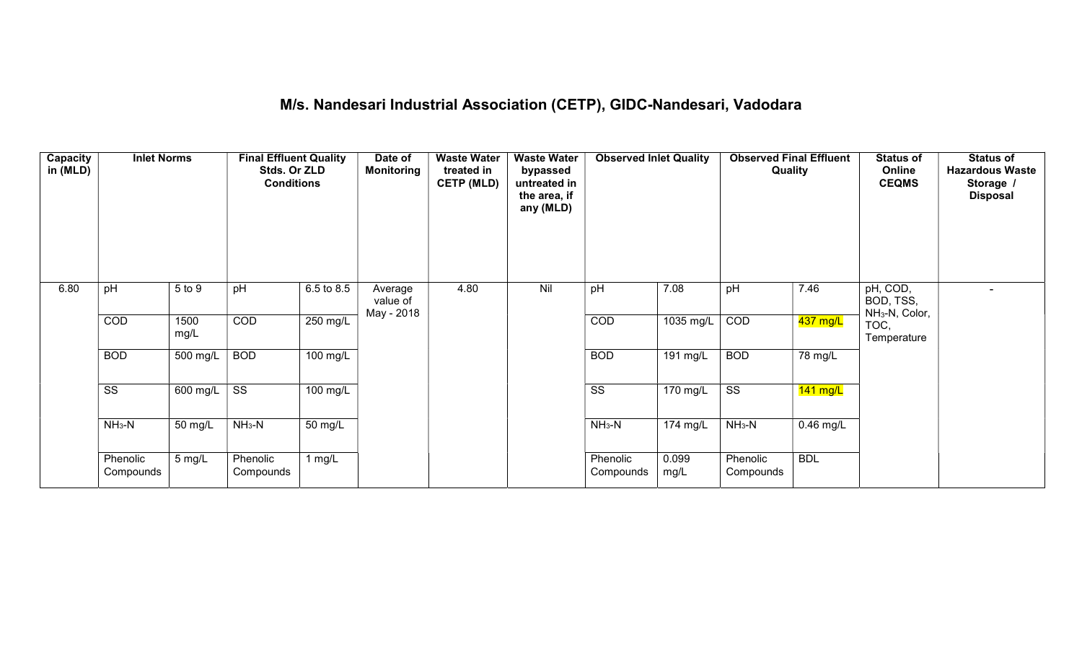## M/s. Nandesari Industrial Association (CETP), GIDC-Nandesari, Vadodara

| Capacity<br>in (MLD) | <b>Inlet Norms</b>     |              | <b>Final Effluent Quality</b><br>Stds. Or ZLD<br><b>Conditions</b> |                    | Date of<br>Monitoring             | <b>Waste Water</b><br>treated in<br><b>CETP (MLD)</b> | <b>Waste Water</b><br>bypassed<br>untreated in<br>the area, if<br>any (MLD) | <b>Observed Inlet Quality</b> |                       | <b>Observed Final Effluent</b><br>Quality |             | <b>Status of</b><br>Online<br><b>CEQMS</b>          | <b>Status of</b><br><b>Hazardous Waste</b><br>Storage /<br><b>Disposal</b> |
|----------------------|------------------------|--------------|--------------------------------------------------------------------|--------------------|-----------------------------------|-------------------------------------------------------|-----------------------------------------------------------------------------|-------------------------------|-----------------------|-------------------------------------------|-------------|-----------------------------------------------------|----------------------------------------------------------------------------|
| 6.80                 | pH                     | 5 to 9       | pH                                                                 | 6.5 to 8.5         | Average<br>value of<br>May - 2018 | 4.80                                                  | Nil                                                                         | pH                            | 7.08                  | pH                                        | 7.46        | pH, COD,<br>BOD, TSS,<br>NH <sub>3</sub> -N, Color, |                                                                            |
|                      | COD                    | 1500<br>mg/L | COD                                                                | 250 mg/L           |                                   |                                                       |                                                                             | COD                           | $1035 \text{ mg/L}$   | COD                                       | 437 mg/L    | TOC,<br>Temperature                                 |                                                                            |
|                      | <b>BOD</b>             | 500 mg/L     | <b>BOD</b>                                                         | 100 mg/L           |                                   |                                                       |                                                                             | <b>BOD</b>                    | 191 mg/L              | <b>BOD</b>                                | 78 mg/L     |                                                     |                                                                            |
|                      | $\overline{\text{ss}}$ | 600 mg/L     | $\overline{\text{ss}}$                                             | $100 \text{ mg/L}$ |                                   |                                                       |                                                                             | $\overline{\text{ss}}$        | $\overline{170}$ mg/L | $\overline{\text{ss}}$                    | $141$ mg/L  |                                                     |                                                                            |
|                      | $NH3-N$                | 50 mg/L      | $NH3-N$                                                            | 50 mg/L            |                                   |                                                       |                                                                             | $NH_3-N$                      | 174 mg/L              | $NH3-N$                                   | $0.46$ mg/L |                                                     |                                                                            |
|                      | Phenolic<br>Compounds  | 5 mg/L       | Phenolic<br>Compounds                                              | 1 mg/L             |                                   |                                                       |                                                                             | Phenolic<br>Compounds         | 0.099<br>mg/L         | Phenolic<br>Compounds                     | <b>BDL</b>  |                                                     |                                                                            |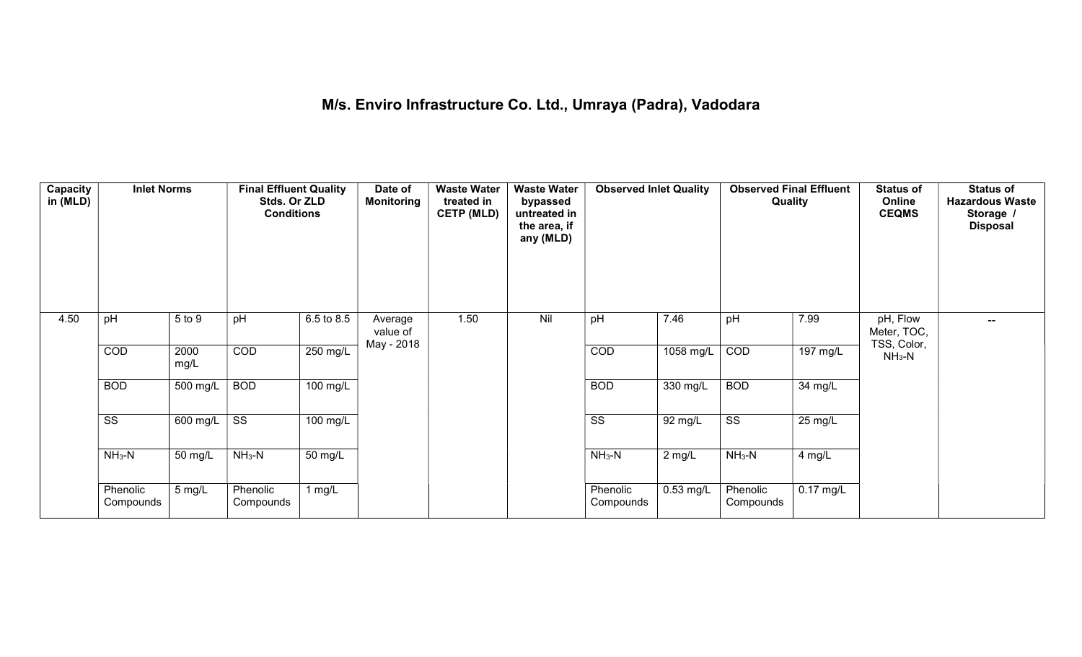## M/s. Enviro Infrastructure Co. Ltd., Umraya (Padra), Vadodara

| Capacity<br>in (MLD) | <b>Inlet Norms</b>     |                  | <b>Final Effluent Quality</b><br>Stds. Or ZLD<br><b>Conditions</b> |            | Date of<br><b>Monitoring</b>      | <b>Waste Water</b><br>treated in<br><b>CETP (MLD)</b> | <b>Waste Water</b><br>bypassed<br>untreated in<br>the area, if<br>any (MLD) | <b>Observed Inlet Quality</b> |                    | <b>Observed Final Effluent</b><br>Quality |             | <b>Status of</b><br>Online<br><b>CEQMS</b> | <b>Status of</b><br><b>Hazardous Waste</b><br>Storage /<br><b>Disposal</b> |
|----------------------|------------------------|------------------|--------------------------------------------------------------------|------------|-----------------------------------|-------------------------------------------------------|-----------------------------------------------------------------------------|-------------------------------|--------------------|-------------------------------------------|-------------|--------------------------------------------|----------------------------------------------------------------------------|
| 4.50                 | pH                     | 5 to 9           | pH                                                                 | 6.5 to 8.5 | Average<br>value of<br>May - 2018 | 1.50                                                  | Nil                                                                         | pH                            | 7.46               | pH                                        | 7.99        | pH, Flow<br>Meter, TOC,<br>TSS, Color,     | $\overline{\phantom{a}}$                                                   |
|                      | COD                    | 2000<br>mg/L     | <b>COD</b>                                                         | $250$ mg/L |                                   |                                                       |                                                                             | COD                           | 1058 mg/L          | COD                                       | 197 mg/L    | $NH3-N$                                    |                                                                            |
|                      | <b>BOD</b>             | 500 mg/L         | <b>BOD</b>                                                         | $100$ mg/L |                                   |                                                       |                                                                             | <b>BOD</b>                    | $330 \text{ mg/L}$ | <b>BOD</b>                                | 34 mg/L     |                                            |                                                                            |
|                      | $\overline{\text{ss}}$ | 600 mg/L         | $\overline{\text{ss}}$                                             | $100$ mg/L |                                   |                                                       |                                                                             | $\overline{\text{ss}}$        | 92 mg/L            | $\overline{\text{ss}}$                    | 25 mg/L     |                                            |                                                                            |
|                      | $NH3-N$                | 50 mg/L          | $NH3-N$                                                            | 50 mg/L    |                                   |                                                       |                                                                             | $NH3-N$                       | $2$ mg/L           | $NH_3-N$                                  | 4 mg/L      |                                            |                                                                            |
|                      | Phenolic<br>Compounds  | $5 \text{ mg/L}$ | Phenolic<br>Compounds                                              | 1 $mg/L$   |                                   |                                                       |                                                                             | Phenolic<br>Compounds         | $0.53$ mg/L        | Phenolic<br>Compounds                     | $0.17$ mg/L |                                            |                                                                            |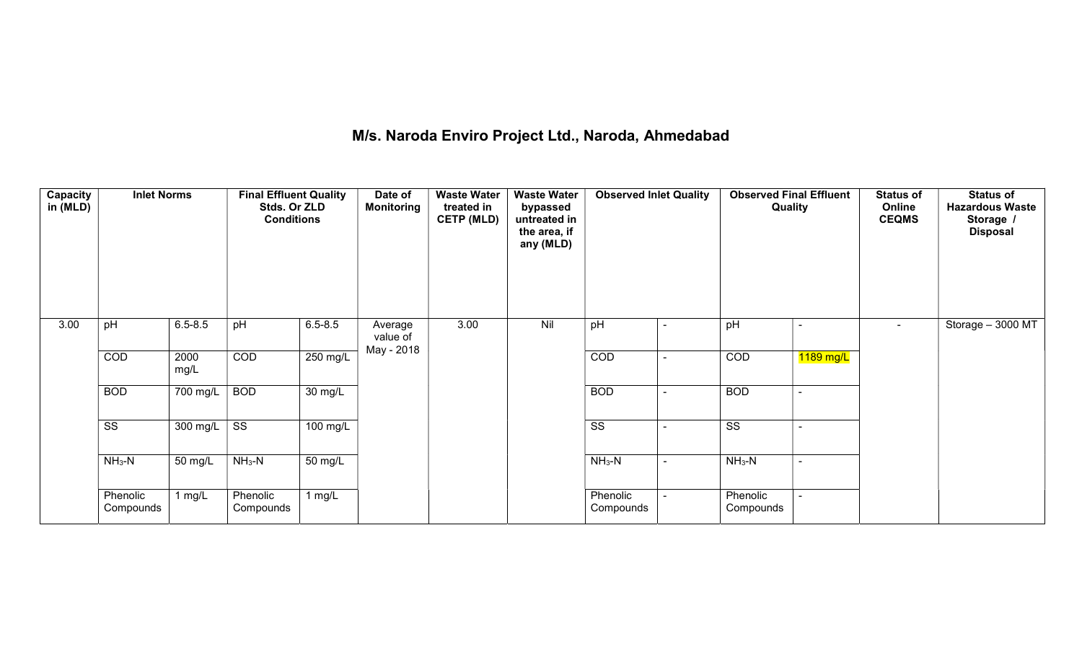## M/s. Naroda Enviro Project Ltd., Naroda, Ahmedabad

| <b>Capacity</b><br>in (MLD) | <b>Inlet Norms</b>     | $6.5 - 8.5$<br>pH<br>COD<br>2000 |                        | <b>Final Effluent Quality</b><br>Stds. Or ZLD<br><b>Conditions</b> | Date of<br><b>Monitoring</b> | <b>Waste Water</b><br>treated in<br><b>CETP (MLD)</b> | <b>Waste Water</b><br>bypassed<br>untreated in<br>the area, if<br>any (MLD) | <b>Observed Inlet Quality</b> | <b>Observed Final Effluent</b><br>Quality |                | <b>Status of</b><br>Online<br><b>CEQMS</b> | <b>Status of</b><br><b>Hazardous Waste</b><br>Storage /<br><b>Disposal</b> |
|-----------------------------|------------------------|----------------------------------|------------------------|--------------------------------------------------------------------|------------------------------|-------------------------------------------------------|-----------------------------------------------------------------------------|-------------------------------|-------------------------------------------|----------------|--------------------------------------------|----------------------------------------------------------------------------|
| 3.00                        | pH                     |                                  |                        | $6.5 - 8.5$                                                        | Average<br>value of          | 3.00                                                  | Nil                                                                         | pH                            | pH                                        |                | $\overline{\phantom{0}}$                   | Storage - 3000 MT                                                          |
|                             | COD                    | mg/L                             |                        | $250 \text{ mg/L}$                                                 | May - 2018                   |                                                       |                                                                             | COD                           | COD                                       | 1189 mg/L      |                                            |                                                                            |
|                             | <b>BOD</b>             | 700 mg/L                         | <b>BOD</b>             | $\overline{30}$ mg/L                                               |                              |                                                       |                                                                             | <b>BOD</b>                    | <b>BOD</b>                                |                |                                            |                                                                            |
|                             | $\overline{\text{SS}}$ | 300 mg/L                         | $\overline{\text{ss}}$ | 100 mg/L                                                           |                              |                                                       |                                                                             | $\overline{\text{SS}}$        | $\overline{\text{ss}}$                    | ÷              |                                            |                                                                            |
|                             | $NH3-N$                | 50 mg/L                          | $NH_3-N$               | $\overline{50}$ mg/L                                               |                              |                                                       |                                                                             | $NH3-N$                       | $NH_3-N$                                  | $\blacksquare$ |                                            |                                                                            |
|                             | Phenolic<br>Compounds  | 1 $mg/L$                         | Phenolic<br>Compounds  | 1 $mg/L$                                                           |                              |                                                       |                                                                             | Phenolic<br>Compounds         | Phenolic<br>Compounds                     |                |                                            |                                                                            |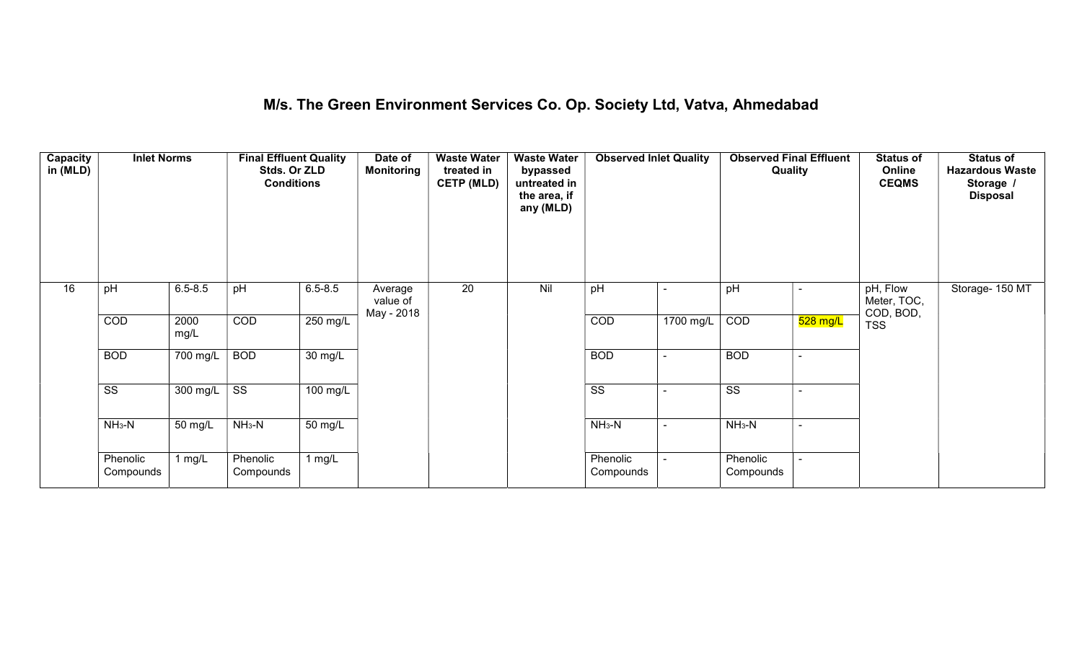## M/s. The Green Environment Services Co. Op. Society Ltd, Vatva, Ahmedabad

| Capacity<br>in (MLD) | <b>Inlet Norms</b>     |              | <b>Final Effluent Quality</b><br>Stds. Or ZLD<br><b>Conditions</b> |                      | Date of<br>Monitoring             | <b>Waste Water</b><br>treated in<br><b>CETP (MLD)</b> | <b>Waste Water</b><br>bypassed<br>untreated in<br>the area, if<br>any (MLD) | <b>Observed Inlet Quality</b> |           | <b>Observed Final Effluent</b><br>Quality |            | <b>Status of</b><br>Online<br><b>CEQMS</b> | <b>Status of</b><br><b>Hazardous Waste</b><br>Storage /<br><b>Disposal</b> |
|----------------------|------------------------|--------------|--------------------------------------------------------------------|----------------------|-----------------------------------|-------------------------------------------------------|-----------------------------------------------------------------------------|-------------------------------|-----------|-------------------------------------------|------------|--------------------------------------------|----------------------------------------------------------------------------|
| 16                   | pH                     | $6.5 - 8.5$  | pH                                                                 | $6.5 - 8.5$          | Average<br>value of<br>May - 2018 | 20                                                    | Nil                                                                         | pH                            |           | pH                                        |            | pH, Flow<br>Meter, TOC,<br>COD, BOD,       | Storage- 150 MT                                                            |
|                      | COD                    | 2000<br>mg/L | COD                                                                | 250 mg/L             |                                   |                                                       |                                                                             | COD                           | 1700 mg/L | COD                                       | $528$ mg/L | <b>TSS</b>                                 |                                                                            |
|                      | <b>BOD</b>             | 700 mg/L     | <b>BOD</b>                                                         | $\overline{30}$ mg/L |                                   |                                                       |                                                                             | <b>BOD</b>                    |           | <b>BOD</b>                                |            |                                            |                                                                            |
|                      | $\overline{\text{ss}}$ | 300 mg/L     | $\overline{\text{ss}}$                                             | $100 \text{ mg/L}$   |                                   |                                                       |                                                                             | $\overline{\text{ss}}$        |           | $\overline{\text{ss}}$                    |            |                                            |                                                                            |
|                      | $NH_3-N$               | 50 mg/L      | $NH_3-N$                                                           | $50 \text{ mg/L}$    |                                   |                                                       |                                                                             | $NH_3-N$                      |           | $NH_3-N$                                  |            |                                            |                                                                            |
|                      | Phenolic<br>Compounds  | 1 mg/L       | Phenolic<br>Compounds                                              | 1 mg/L               |                                   |                                                       |                                                                             | Phenolic<br>Compounds         |           | Phenolic<br>Compounds                     |            |                                            |                                                                            |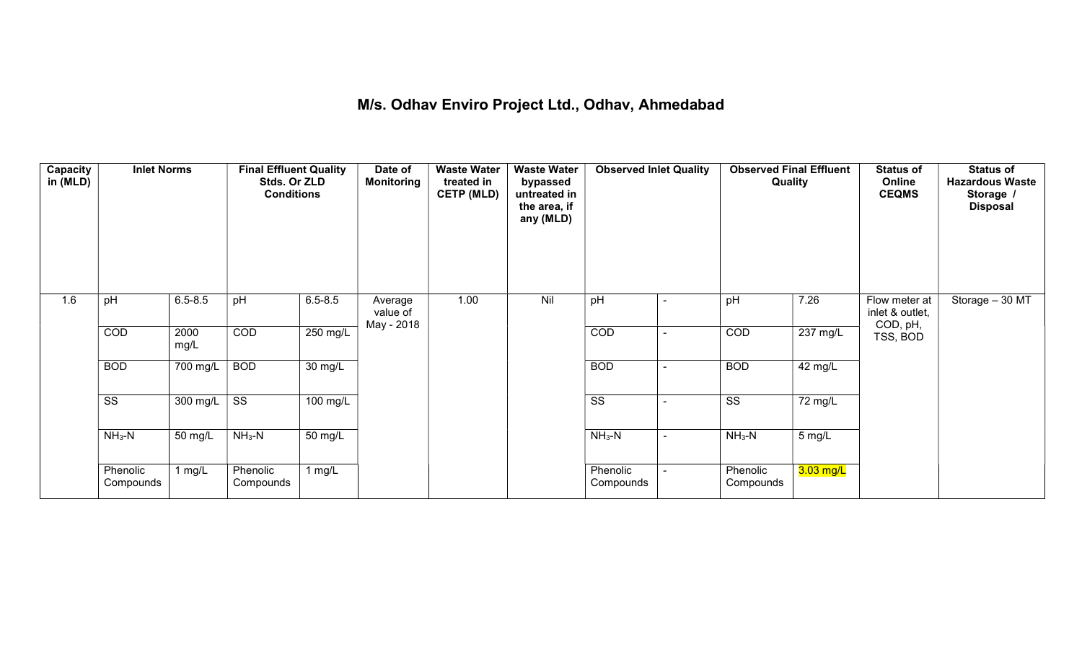## M/s. Odhav Enviro Project Ltd., Odhav, Ahmedabad

| Capacity<br>in (MLD) | <b>Inlet Norms</b>     |                       | <b>Final Effluent Quality</b><br>Stds. Or ZLD<br><b>Conditions</b> |             | Date of<br><b>Monitoring</b> | <b>Waste Water</b><br>treated in<br><b>CETP (MLD)</b> | <b>Waste Water</b><br>bypassed<br>untreated in<br>the area, if<br>any (MLD) | <b>Observed Inlet Quality</b> |                | <b>Observed Final Effluent</b><br>Quality |                    | <b>Status of</b><br>Online<br><b>CEQMS</b> | <b>Status of</b><br><b>Hazardous Waste</b><br>Storage /<br><b>Disposal</b> |
|----------------------|------------------------|-----------------------|--------------------------------------------------------------------|-------------|------------------------------|-------------------------------------------------------|-----------------------------------------------------------------------------|-------------------------------|----------------|-------------------------------------------|--------------------|--------------------------------------------|----------------------------------------------------------------------------|
| 1.6                  | pH                     | $6.5 - 8.5$           | pH                                                                 | $6.5 - 8.5$ | Average<br>value of          | 1.00                                                  | Nil                                                                         | pH                            |                | pH                                        | 7.26               | Flow meter at<br>inlet & outlet,           | Storage - 30 MT                                                            |
|                      | COD                    | 2000<br>mg/L          | COD                                                                | 250 mg/L    | May - 2018                   |                                                       |                                                                             | COD                           | $\blacksquare$ | COD                                       | $237 \text{ mg/L}$ | COD, pH,<br>TSS, BOD                       |                                                                            |
|                      | <b>BOD</b>             | $\overline{700}$ mg/L | <b>BOD</b>                                                         | 30 mg/L     |                              |                                                       |                                                                             | <b>BOD</b>                    | $\blacksquare$ | <b>BOD</b>                                | 42 mg/L            |                                            |                                                                            |
|                      | $\overline{\text{ss}}$ | 300 mg/L $\vert$      | $\overline{\text{ss}}$                                             | 100 mg/L    |                              |                                                       |                                                                             | $\overline{\text{ss}}$        | $\blacksquare$ | $\overline{\text{ss}}$                    | 72 mg/L            |                                            |                                                                            |
|                      | $NH3-N$                | 50 mg/L               | $NH3-N$                                                            | 50 mg/L     |                              |                                                       |                                                                             | $NH3-N$                       | $\sim$         | $NH3-N$                                   | 5 mg/L             |                                            |                                                                            |
|                      | Phenolic<br>Compounds  | 1 mg/L                | Phenolic<br>Compounds                                              | $1$ mg/L    |                              |                                                       |                                                                             | Phenolic<br>Compounds         | $\sim$         | Phenolic<br>Compounds                     | $3.03$ mg/L        |                                            |                                                                            |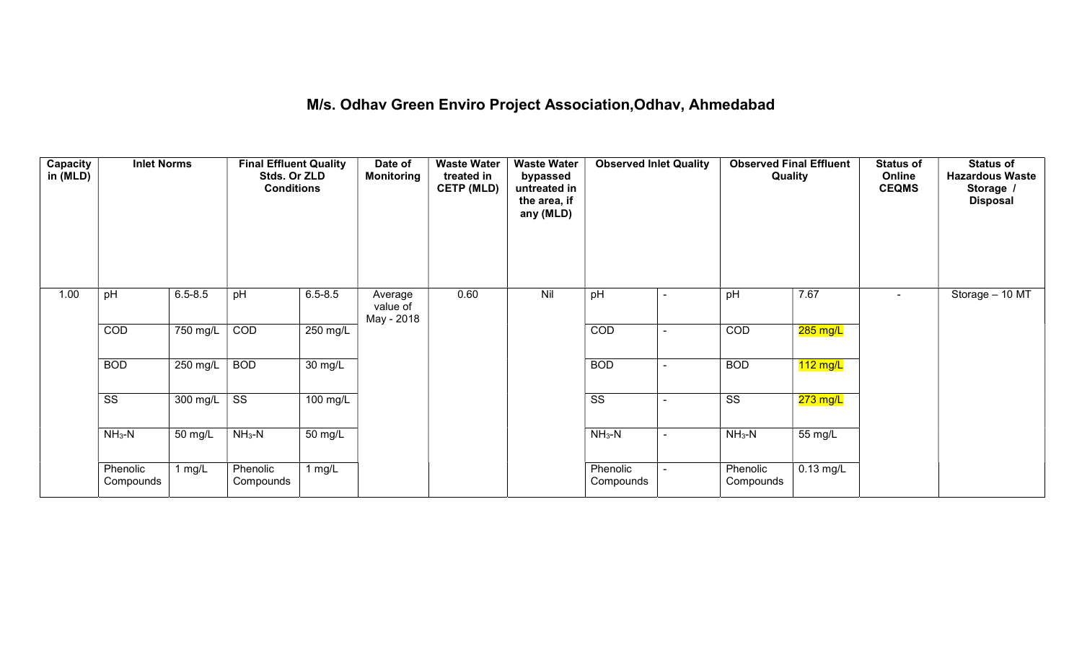## M/s. Odhav Green Enviro Project Association,Odhav, Ahmedabad

| Capacity<br>in (MLD) | <b>Inlet Norms</b>     |                  | <b>Final Effluent Quality</b><br>Stds. Or ZLD<br><b>Conditions</b> |                      | Date of<br><b>Monitoring</b>      | <b>Waste Water</b><br>treated in<br><b>CETP (MLD)</b> | <b>Waste Water</b><br>bypassed<br>untreated in<br>the area, if<br>any (MLD) | <b>Observed Inlet Quality</b> | <b>Observed Final Effluent</b><br>Quality |             | <b>Status of</b><br>Online<br><b>CEQMS</b> | <b>Status of</b><br><b>Hazardous Waste</b><br>Storage /<br><b>Disposal</b> |
|----------------------|------------------------|------------------|--------------------------------------------------------------------|----------------------|-----------------------------------|-------------------------------------------------------|-----------------------------------------------------------------------------|-------------------------------|-------------------------------------------|-------------|--------------------------------------------|----------------------------------------------------------------------------|
| 1.00                 | pH                     | $6.5 - 8.5$      | pH                                                                 | $6.5 - 8.5$          | Average<br>value of<br>May - 2018 | 0.60                                                  | Nil                                                                         | pH                            | pH                                        | 7.67        | $\overline{\phantom{a}}$                   | Storage - 10 MT                                                            |
|                      | COD                    | 750 mg/L         | COD                                                                | 250 mg/L             |                                   |                                                       |                                                                             | COD                           | COD                                       | $285$ mg/L  |                                            |                                                                            |
|                      | <b>BOD</b>             | 250 mg/L         | <b>BOD</b>                                                         | $\overline{30}$ mg/L |                                   |                                                       |                                                                             | <b>BOD</b>                    | <b>BOD</b>                                | $112$ mg/L  |                                            |                                                                            |
|                      | $\overline{\text{ss}}$ | 300 mg/L $\vert$ | $\overline{\text{ss}}$                                             | 100 mg/L             |                                   |                                                       |                                                                             | $\overline{\text{ss}}$        | $\overline{\text{ss}}$                    | $273$ mg/L  |                                            |                                                                            |
|                      | $NH3-N$                | 50 mg/L          | $NH3-N$                                                            | $\overline{50}$ mg/L |                                   |                                                       |                                                                             | $NH3-N$                       | $NH3-N$                                   | 55 mg/L     |                                            |                                                                            |
|                      | Phenolic<br>Compounds  | $1$ mg/L         | Phenolic<br>Compounds                                              | 1 $mg/L$             |                                   |                                                       |                                                                             | Phenolic<br>Compounds         | Phenolic<br>Compounds                     | $0.13$ mg/L |                                            |                                                                            |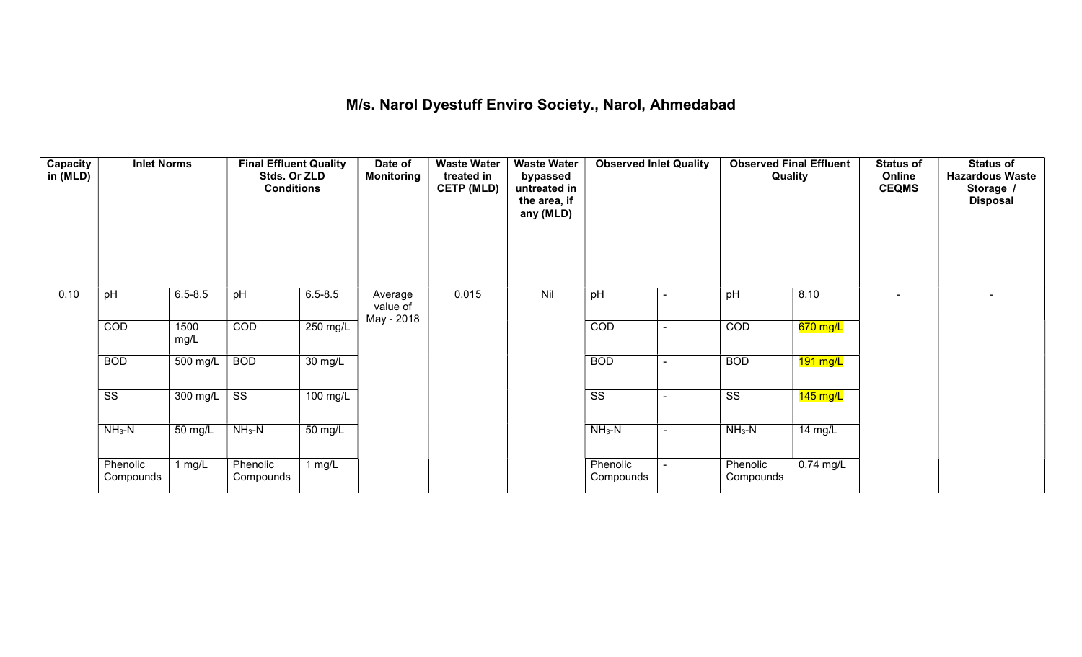## M/s. Narol Dyestuff Enviro Society., Narol, Ahmedabad

| <b>Capacity</b><br>in (MLD) | <b>Inlet Norms</b>     |              | <b>Final Effluent Quality</b><br>Stds. Or ZLD<br><b>Conditions</b> |                      | Date of<br><b>Monitoring</b>      | <b>Waste Water</b><br>treated in<br><b>CETP (MLD)</b> | <b>Waste Water</b><br>bypassed<br>untreated in<br>the area, if<br>any (MLD) | <b>Observed Inlet Quality</b> |                | <b>Observed Final Effluent</b><br>Quality |                    | <b>Status of</b><br>Online<br><b>CEQMS</b> | <b>Status of</b><br><b>Hazardous Waste</b><br>Storage /<br><b>Disposal</b> |
|-----------------------------|------------------------|--------------|--------------------------------------------------------------------|----------------------|-----------------------------------|-------------------------------------------------------|-----------------------------------------------------------------------------|-------------------------------|----------------|-------------------------------------------|--------------------|--------------------------------------------|----------------------------------------------------------------------------|
| 0.10                        | pH                     | $6.5 - 8.5$  | pH                                                                 | $6.5 - 8.5$          | Average<br>value of<br>May - 2018 | 0.015                                                 | Nil                                                                         | pH                            | $\blacksquare$ | pH                                        | 8.10               |                                            |                                                                            |
|                             | COD                    | 1500<br>mg/L | COD                                                                | 250 mg/L             |                                   |                                                       |                                                                             | COD                           | $\blacksquare$ | COD                                       | $670$ mg/L         |                                            |                                                                            |
|                             | <b>BOD</b>             | 500 mg/L     | <b>BOD</b>                                                         | $\overline{30}$ mg/L |                                   |                                                       |                                                                             | <b>BOD</b>                    | $\sim$         | <b>BOD</b>                                | $191$ mg/L         |                                            |                                                                            |
|                             | $\overline{\text{ss}}$ | 300 mg/L     | $\overline{\text{ss}}$                                             | 100 mg/L             |                                   |                                                       |                                                                             | $\overline{\text{ss}}$        | $\blacksquare$ | $\overline{\text{ss}}$                    | $145 \text{ mg/L}$ |                                            |                                                                            |
|                             | $NH3-N$                | 50 mg/L      | $NH_3-N$                                                           | 50 mg/L              |                                   |                                                       |                                                                             | $NH3-N$                       | $\sim$         | $NH_3-N$                                  | 14 mg/L            |                                            |                                                                            |
|                             | Phenolic<br>Compounds  | 1 $mg/L$     | Phenolic<br>Compounds                                              | 1 $mg/L$             |                                   |                                                       |                                                                             | Phenolic<br>Compounds         | $\sim$         | Phenolic<br>Compounds                     | $0.74$ mg/L        |                                            |                                                                            |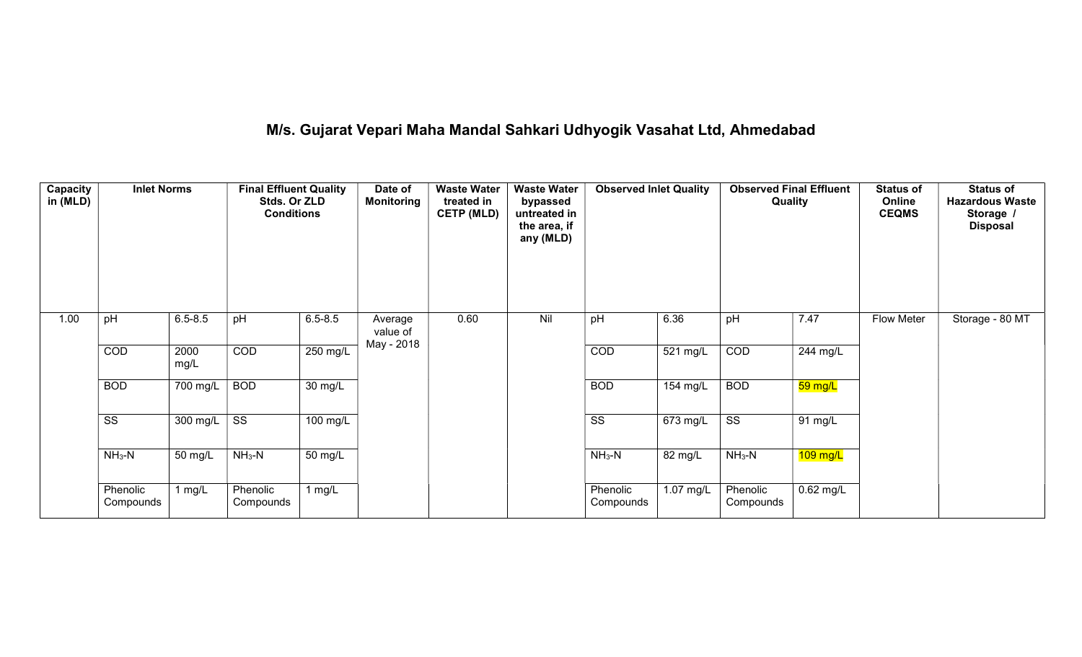# M/s. Gujarat Vepari Maha Mandal Sahkari Udhyogik Vasahat Ltd, Ahmedabad

| Capacity<br>in (MLD) | <b>Inlet Norms</b>     |              | <b>Final Effluent Quality</b><br>Stds. Or ZLD<br><b>Conditions</b> |                      | Date of<br><b>Monitoring</b> | <b>Waste Water</b><br>treated in<br><b>CETP (MLD)</b> | <b>Waste Water</b><br>bypassed<br>untreated in<br>the area, if<br>any (MLD) | <b>Observed Inlet Quality</b> |           |                        | <b>Observed Final Effluent</b><br>Quality | <b>Status of</b><br>Online<br><b>CEQMS</b> | <b>Status of</b><br><b>Hazardous Waste</b><br>Storage<br><b>Disposal</b> |
|----------------------|------------------------|--------------|--------------------------------------------------------------------|----------------------|------------------------------|-------------------------------------------------------|-----------------------------------------------------------------------------|-------------------------------|-----------|------------------------|-------------------------------------------|--------------------------------------------|--------------------------------------------------------------------------|
| 1.00                 | pH                     | $6.5 - 8.5$  | pH                                                                 | $6.5 - 8.5$          | Average<br>value of          | 0.60                                                  | Nil                                                                         | pH                            | 6.36      | pH                     | 7.47                                      | <b>Flow Meter</b>                          | Storage - 80 MT                                                          |
|                      | COD                    | 2000<br>mg/L | COD                                                                | 250 mg/L             | May - 2018                   |                                                       |                                                                             | COD                           | 521 mg/L  | COD                    | 244 mg/L                                  |                                            |                                                                          |
|                      | <b>BOD</b>             | 700 mg/L     | <b>BOD</b>                                                         | $\overline{30}$ mg/L |                              |                                                       |                                                                             | <b>BOD</b>                    | 154 mg/L  | <b>BOD</b>             | 59 mg/L                                   |                                            |                                                                          |
|                      | $\overline{\text{ss}}$ | 300 mg/L     | $\overline{\text{ss}}$                                             | 100 mg/L             |                              |                                                       |                                                                             | $\overline{\text{ss}}$        | 673 mg/L  | $\overline{\text{SS}}$ | 91 mg/L                                   |                                            |                                                                          |
|                      | $NH3-N$                | 50 mg/L      | $NH_3-N$                                                           | 50 mg/L              |                              |                                                       |                                                                             | $NH3-N$                       | 82 mg/L   | $NH_3-N$               | $109$ mg/L                                |                                            |                                                                          |
|                      | Phenolic<br>Compounds  | 1 $mg/L$     | Phenolic<br>Compounds                                              | 1 $mg/L$             |                              |                                                       |                                                                             | Phenolic<br>Compounds         | 1.07 mg/L | Phenolic<br>Compounds  | $0.62$ mg/L                               |                                            |                                                                          |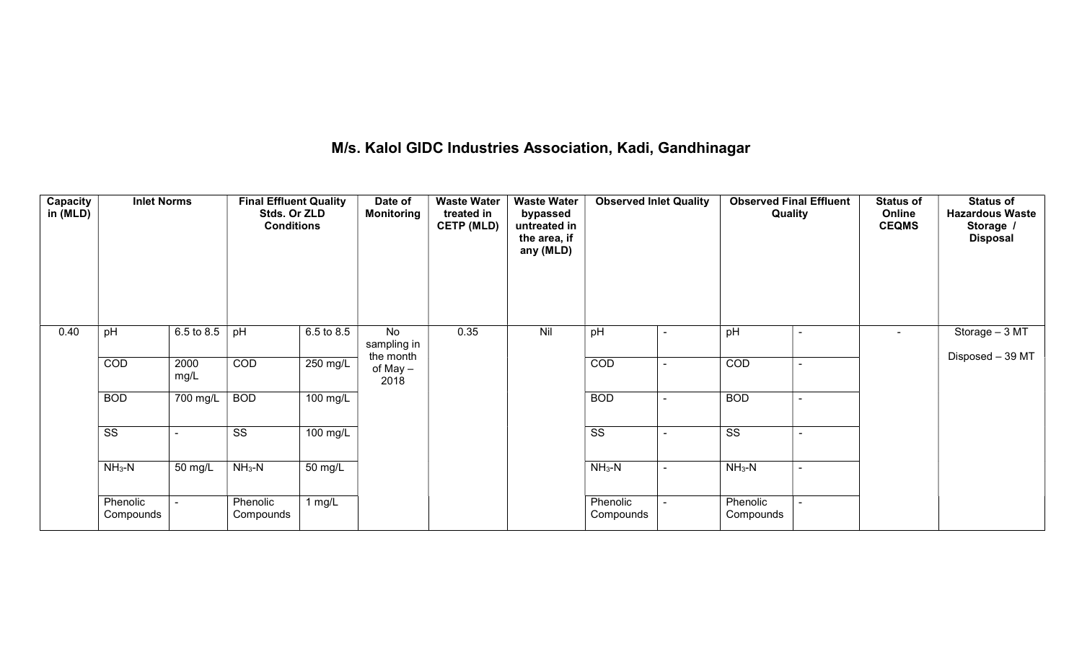## M/s. Kalol GIDC Industries Association, Kadi, Gandhinagar

| Capacity<br>in (MLD) | <b>Inlet Norms</b>     |              | <b>Final Effluent Quality</b><br>Stds. Or ZLD<br><b>Conditions</b> |            | Date of<br><b>Monitoring</b>   | <b>Waste Water</b><br>treated in<br><b>CETP (MLD)</b> | <b>Waste Water</b><br>bypassed<br>untreated in<br>the area, if<br>any (MLD) | <b>Observed Inlet Quality</b> |                          | <b>Observed Final Effluent</b><br>Quality |                          | <b>Status of</b><br>Online<br><b>CEQMS</b> | <b>Status of</b><br><b>Hazardous Waste</b><br>Storage /<br><b>Disposal</b> |
|----------------------|------------------------|--------------|--------------------------------------------------------------------|------------|--------------------------------|-------------------------------------------------------|-----------------------------------------------------------------------------|-------------------------------|--------------------------|-------------------------------------------|--------------------------|--------------------------------------------|----------------------------------------------------------------------------|
| 0.40                 | pH                     | 6.5 to 8.5   | pH                                                                 | 6.5 to 8.5 | No<br>sampling in<br>the month | 0.35                                                  | Nil                                                                         | pH                            |                          | pH                                        |                          | $\blacksquare$                             | Storage - 3 MT<br>Disposed - 39 MT                                         |
|                      | COD                    | 2000<br>mg/L | COD                                                                | $250$ mg/L | of May –<br>2018               |                                                       |                                                                             | COD                           |                          | COD                                       |                          |                                            |                                                                            |
|                      | <b>BOD</b>             | 700 mg/L     | <b>BOD</b>                                                         | 100 mg/L   |                                |                                                       |                                                                             | <b>BOD</b>                    |                          | <b>BOD</b>                                |                          |                                            |                                                                            |
|                      | $\overline{\text{ss}}$ |              | $\overline{\text{SS}}$                                             | $100$ mg/L |                                |                                                       |                                                                             | $\overline{\text{ss}}$        |                          | $\overline{\text{ss}}$                    | $\overline{\phantom{0}}$ |                                            |                                                                            |
|                      | $NH3-N$                | 50 mg/L      | $NH_3-N$                                                           | 50 mg/L    |                                |                                                       |                                                                             | $NH3-N$                       | $\overline{\phantom{0}}$ | $NH3-N$                                   | $\blacksquare$           |                                            |                                                                            |
|                      | Phenolic<br>Compounds  |              | Phenolic<br>Compounds                                              | 1 $mg/L$   |                                |                                                       |                                                                             | Phenolic<br>Compounds         |                          | Phenolic<br>Compounds                     |                          |                                            |                                                                            |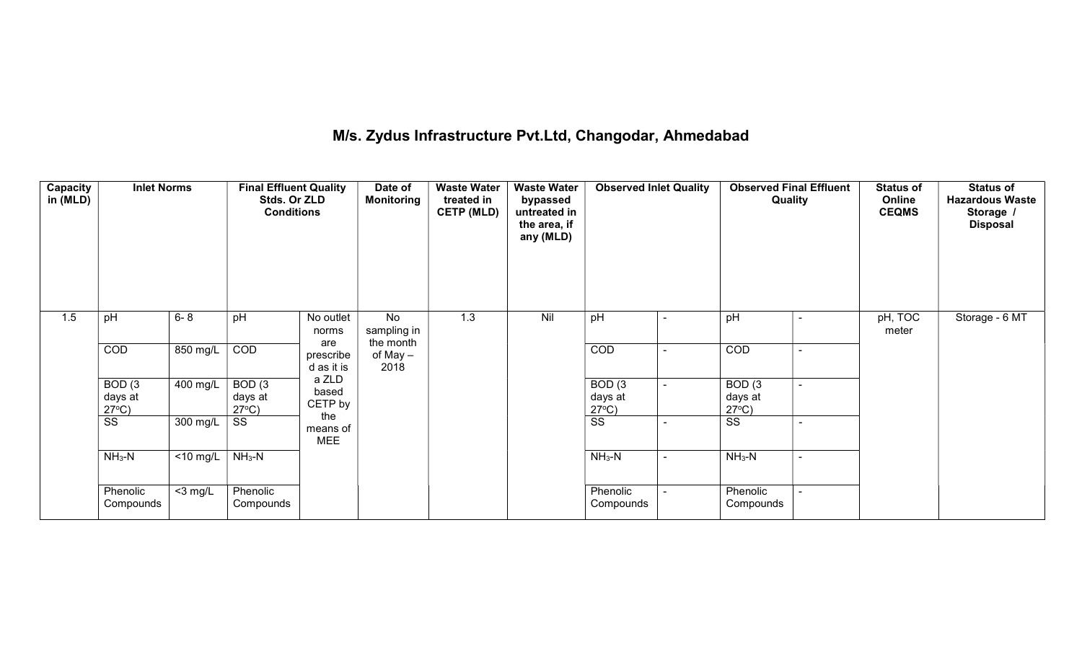## M/s. Zydus Infrastructure Pvt.Ltd, Changodar, Ahmedabad

| Capacity<br>in (MLD) | <b>Inlet Norms</b>                   |             | <b>Final Effluent Quality</b><br>Stds. Or ZLD<br><b>Conditions</b> |                               | Date of<br>Monitoring          | <b>Waste Water</b><br>treated in<br><b>CETP (MLD)</b> | <b>Waste Water</b><br>bypassed<br>untreated in<br>the area, if<br>any (MLD) | <b>Observed Inlet Quality</b>        | <b>Observed Final Effluent</b><br>Quality |                          | <b>Status of</b><br>Online<br><b>CEQMS</b> | <b>Status of</b><br><b>Hazardous Waste</b><br>Storage /<br><b>Disposal</b> |
|----------------------|--------------------------------------|-------------|--------------------------------------------------------------------|-------------------------------|--------------------------------|-------------------------------------------------------|-----------------------------------------------------------------------------|--------------------------------------|-------------------------------------------|--------------------------|--------------------------------------------|----------------------------------------------------------------------------|
| 1.5                  | pH                                   | $6 - 8$     | pH                                                                 | No outlet<br>norms<br>are     | No<br>sampling in<br>the month | 1.3                                                   | Nil                                                                         | pH                                   | pH                                        | $\blacksquare$           | pH, TOC<br>meter                           | Storage - 6 MT                                                             |
|                      | COD                                  | 850 mg/L    | COD                                                                | prescribe<br>d as it is       | of May –<br>2018               |                                                       |                                                                             | COD                                  | COD                                       |                          |                                            |                                                                            |
|                      | BOD(3)<br>days at<br>$27^{\circ}C$ ) | 400 mg/L    | BOD(3)<br>days at<br>$27^{\circ}C$ )                               | a ZLD<br>based<br>CETP by     |                                |                                                       |                                                                             | BOD(3)<br>days at<br>$27^{\circ}C$ ) | BOD(3)<br>days at<br>$27^{\circ}C$ )      | $\sim$                   |                                            |                                                                            |
|                      | $\overline{\text{ss}}$               | 300 mg/L    | <b>SS</b>                                                          | the<br>means of<br><b>MEE</b> |                                |                                                       |                                                                             | $\overline{\text{ss}}$               | SS                                        | $\overline{\phantom{0}}$ |                                            |                                                                            |
|                      | $NH3-N$                              | $<$ 10 mg/L | $NH3-N$                                                            |                               |                                |                                                       |                                                                             | $NH3-N$                              | $NH3-N$                                   | $\blacksquare$           |                                            |                                                                            |
|                      | Phenolic<br>Compounds                | $<$ 3 mg/L  | Phenolic<br>Compounds                                              |                               |                                |                                                       |                                                                             | Phenolic<br>Compounds                | Phenolic<br>Compounds                     |                          |                                            |                                                                            |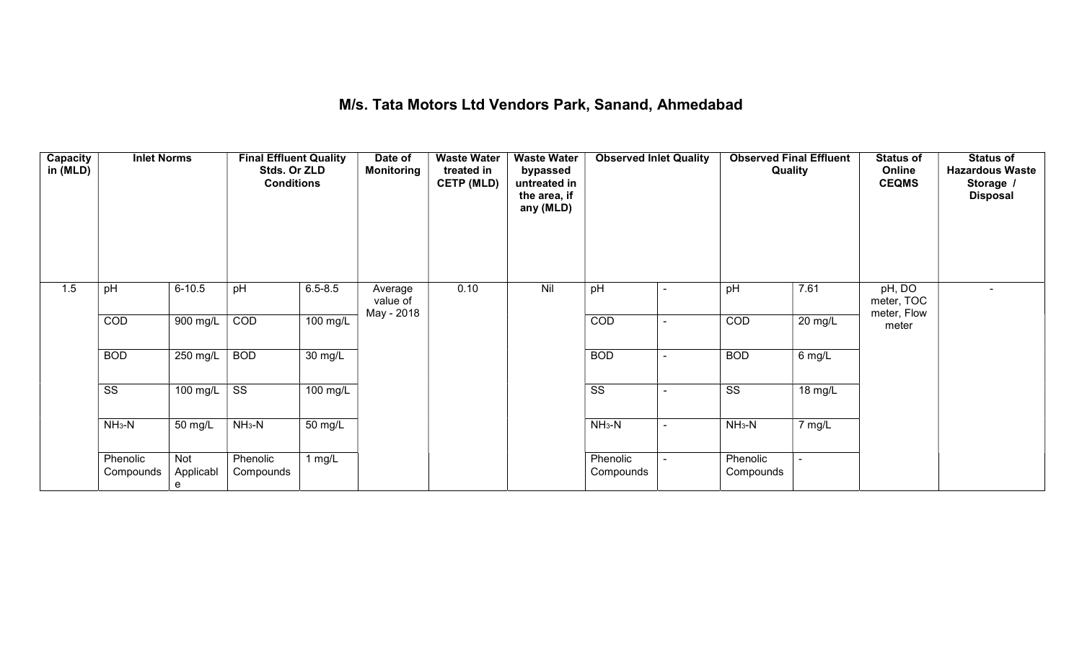#### M/s. Tata Motors Ltd Vendors Park, Sanand, Ahmedabad

| Capacity<br>in (MLD) | <b>Inlet Norms</b>     |                       | <b>Final Effluent Quality</b><br>Stds. Or ZLD<br><b>Conditions</b> |                   | Date of<br><b>Monitoring</b> | <b>Waste Water</b><br>treated in<br><b>CETP (MLD)</b> | <b>Waste Water</b><br>bypassed<br>untreated in<br>the area, if<br>any (MLD) | <b>Observed Inlet Quality</b> |                          | <b>Observed Final Effluent</b><br>Quality |         | <b>Status of</b><br>Online<br><b>CEQMS</b> | <b>Status of</b><br><b>Hazardous Waste</b><br>Storage /<br><b>Disposal</b> |
|----------------------|------------------------|-----------------------|--------------------------------------------------------------------|-------------------|------------------------------|-------------------------------------------------------|-----------------------------------------------------------------------------|-------------------------------|--------------------------|-------------------------------------------|---------|--------------------------------------------|----------------------------------------------------------------------------|
| 1.5                  | pH                     | $6 - 10.5$            | pH                                                                 | $6.5 - 8.5$       | Average<br>value of          | 0.10                                                  | Nil                                                                         | pH                            | ٠                        | pH                                        | 7.61    | pH, DO<br>meter, TOC                       | $\overline{\phantom{a}}$                                                   |
|                      | COD                    | 900 mg/L              | COD                                                                | 100 mg/L          | May - 2018                   |                                                       |                                                                             | COD                           | $\blacksquare$           | COD                                       | 20 mg/L | meter, Flow<br>meter                       |                                                                            |
|                      | <b>BOD</b>             | $250$ mg/L            | <b>BOD</b>                                                         | $30 \text{ mg/L}$ |                              |                                                       |                                                                             | <b>BOD</b>                    | ۰                        | <b>BOD</b>                                | 6 mg/L  |                                            |                                                                            |
|                      | $\overline{\text{ss}}$ | 100 mg/L              | $\overline{\text{SS}}$                                             | 100 mg/L          |                              |                                                       |                                                                             | $\overline{\text{ss}}$        | $\overline{\phantom{a}}$ | $\overline{\text{ss}}$                    | 18 mg/L |                                            |                                                                            |
|                      | $NH3-N$                | 50 mg/L               | $NH3-N$                                                            | 50 mg/L           |                              |                                                       |                                                                             | $NH3-N$                       | $\sim$                   | $NH3-N$                                   | 7 mg/L  |                                            |                                                                            |
|                      | Phenolic<br>Compounds  | Not<br>Applicabl<br>e | Phenolic<br>Compounds                                              | 1 $mg/L$          |                              |                                                       |                                                                             | Phenolic<br>Compounds         |                          | Phenolic<br>Compounds                     | $\sim$  |                                            |                                                                            |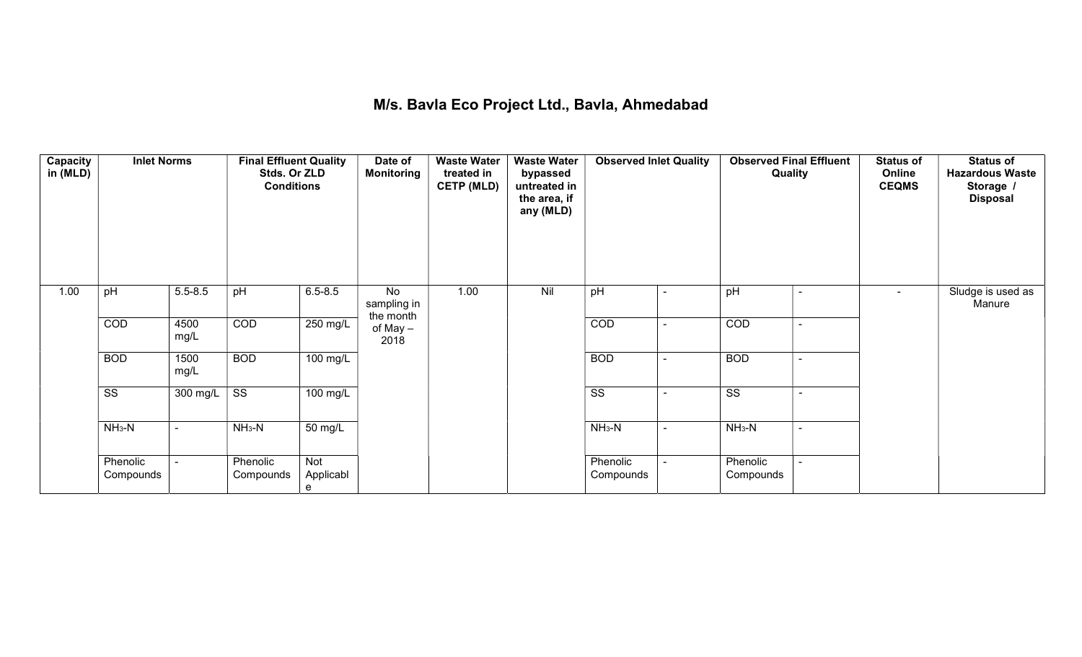## M/s. Bavla Eco Project Ltd., Bavla, Ahmedabad

| Capacity<br>in (MLD) | <b>Inlet Norms</b>     |                    | <b>Final Effluent Quality</b><br>Stds. Or ZLD<br><b>Conditions</b> |                       | Date of<br>Monitoring          | <b>Waste Water</b><br>treated in<br><b>CETP (MLD)</b> | <b>Waste Water</b><br>bypassed<br>untreated in<br>the area, if<br>any (MLD) | <b>Observed Inlet Quality</b> |                          | <b>Observed Final Effluent</b><br>Quality          | <b>Status of</b><br>Online<br><b>CEQMS</b> | <b>Status of</b><br><b>Hazardous Waste</b><br>Storage /<br><b>Disposal</b> |
|----------------------|------------------------|--------------------|--------------------------------------------------------------------|-----------------------|--------------------------------|-------------------------------------------------------|-----------------------------------------------------------------------------|-------------------------------|--------------------------|----------------------------------------------------|--------------------------------------------|----------------------------------------------------------------------------|
| 1.00                 | pH                     | $5.5 - 8.5$        | pH                                                                 | $6.5 - 8.5$           | No<br>sampling in<br>the month | 1.00                                                  | Nil                                                                         | pH                            | $\blacksquare$           | pH<br>$\sim$                                       | $\blacksquare$                             | Sludge is used as<br>Manure                                                |
|                      | COD                    | 4500<br>mg/L       | COD                                                                | $250 \text{ mg/L}$    | of May -<br>2018               |                                                       |                                                                             | COD                           | $\overline{\phantom{0}}$ | COD<br>$\blacksquare$                              |                                            |                                                                            |
|                      | <b>BOD</b>             | 1500<br>mg/L       | <b>BOD</b>                                                         | $100$ mg/L            |                                |                                                       |                                                                             | <b>BOD</b>                    | ۰                        | <b>BOD</b><br>$\blacksquare$                       |                                            |                                                                            |
|                      | $\overline{\text{ss}}$ | $300 \text{ mg/L}$ | $\overline{\text{SS}}$                                             | 100 mg/L              |                                |                                                       |                                                                             | $\overline{\text{ss}}$        |                          | $\overline{\text{ss}}$<br>$\overline{\phantom{a}}$ |                                            |                                                                            |
|                      | $NH3-N$                | $\blacksquare$     | $NH3-N$                                                            | 50 mg/L               |                                |                                                       |                                                                             | $NH3-N$                       | $\blacksquare$           | $NH3-N$<br>$\sim$                                  |                                            |                                                                            |
|                      | Phenolic<br>Compounds  | $\blacksquare$     | Phenolic<br>Compounds                                              | Not<br>Applicabl<br>e |                                |                                                       |                                                                             | Phenolic<br>Compounds         |                          | Phenolic<br>Compounds                              |                                            |                                                                            |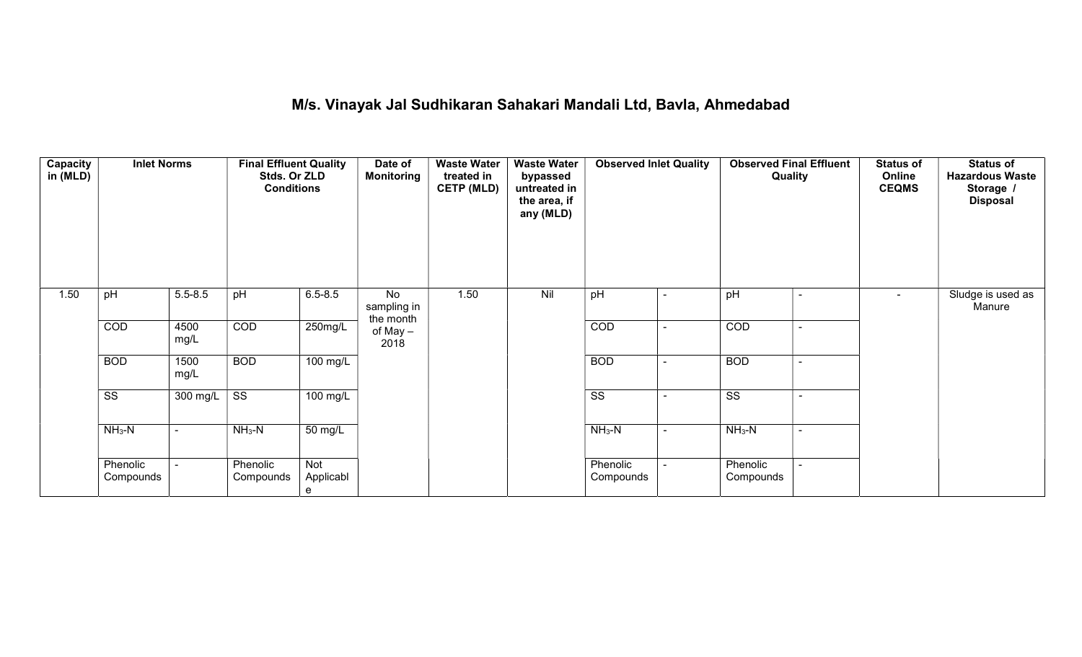## M/s. Vinayak Jal Sudhikaran Sahakari Mandali Ltd, Bavla, Ahmedabad

| Capacity<br>in (MLD) | <b>Inlet Norms</b>     |                | <b>Final Effluent Quality</b><br>Stds. Or ZLD<br><b>Conditions</b> |                       | Date of<br><b>Monitoring</b>   | <b>Waste Water</b><br>treated in<br><b>CETP (MLD)</b><br>1.50 | <b>Waste Water</b><br>bypassed<br>untreated in<br>the area, if<br>any (MLD) | <b>Observed Inlet Quality</b> |                | <b>Observed Final Effluent</b><br>Quality          | <b>Status of</b><br>Online<br><b>CEQMS</b> | <b>Status of</b><br><b>Hazardous Waste</b><br>Storage /<br><b>Disposal</b> |
|----------------------|------------------------|----------------|--------------------------------------------------------------------|-----------------------|--------------------------------|---------------------------------------------------------------|-----------------------------------------------------------------------------|-------------------------------|----------------|----------------------------------------------------|--------------------------------------------|----------------------------------------------------------------------------|
| 1.50                 | pH                     | $5.5 - 8.5$    | pH                                                                 | $6.5 - 8.5$           | No<br>sampling in<br>the month |                                                               | Nil                                                                         | pH                            |                | pH<br>۰                                            | $\blacksquare$                             | Sludge is used as<br>Manure                                                |
|                      | COD                    | 4500<br>mg/L   | COD                                                                | 250mg/L               | of May -<br>2018               |                                                               |                                                                             | COD                           | $\sim$         | COD<br>$\sim$                                      |                                            |                                                                            |
|                      | <b>BOD</b>             | 1500<br>mg/L   | <b>BOD</b>                                                         | 100 mg/L              |                                |                                                               |                                                                             | <b>BOD</b>                    | $\blacksquare$ | <b>BOD</b><br>$\sim$                               |                                            |                                                                            |
|                      | $\overline{\text{SS}}$ | 300 mg/L       | $\overline{\text{ss}}$                                             | 100 mg/L              |                                |                                                               |                                                                             | $\overline{\text{SS}}$        |                | $\overline{\text{ss}}$<br>$\overline{\phantom{0}}$ |                                            |                                                                            |
|                      | $NH3-N$                | $\sim$         | $NH3-N$                                                            | 50 mg/L               |                                |                                                               |                                                                             | $NH3-N$                       | ÷              | $NH3-N$<br>$\blacksquare$                          |                                            |                                                                            |
|                      | Phenolic<br>Compounds  | $\blacksquare$ | Phenolic<br>Compounds                                              | Not<br>Applicabl<br>e |                                |                                                               |                                                                             | Phenolic<br>Compounds         |                | Phenolic<br>Compounds                              |                                            |                                                                            |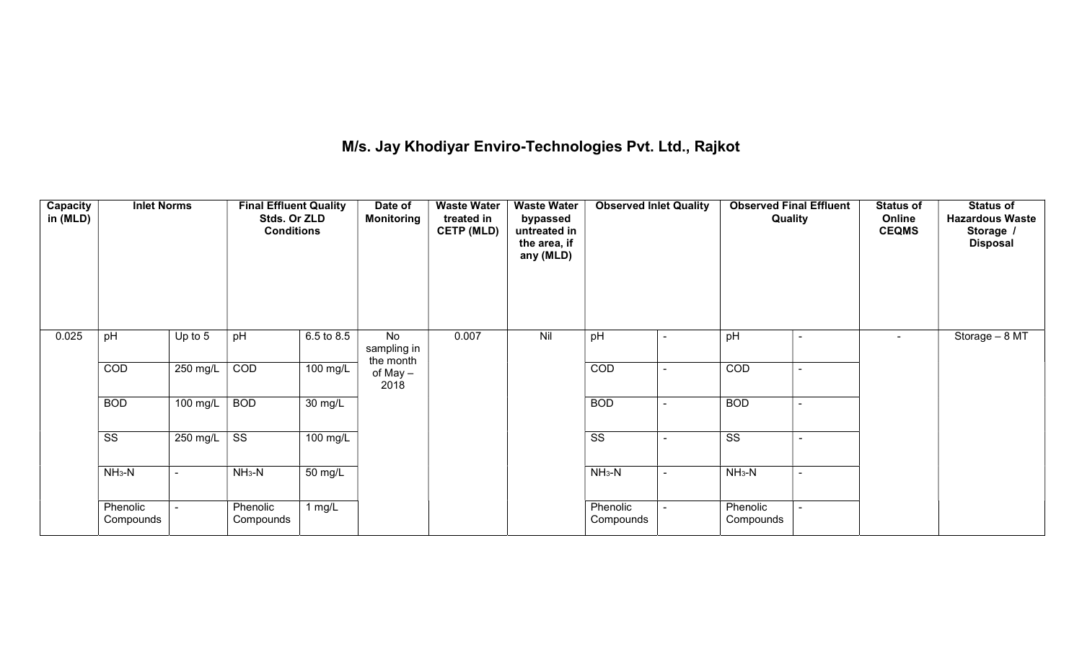## M/s. Jay Khodiyar Enviro-Technologies Pvt. Ltd., Rajkot

| <b>Capacity</b><br>in (MLD) | <b>Inlet Norms</b>     |                | <b>Final Effluent Quality</b><br>Stds. Or ZLD<br><b>Conditions</b> |                      | Date of<br><b>Monitoring</b>   | <b>Waste Water</b><br>treated in<br><b>CETP (MLD)</b> | <b>Waste Water</b><br>bypassed<br>untreated in<br>the area, if<br>any (MLD) | <b>Observed Inlet Quality</b> |                          | <b>Observed Final Effluent</b><br>Quality |                          | <b>Status of</b><br>Online<br><b>CEQMS</b> | <b>Status of</b><br><b>Hazardous Waste</b><br>Storage /<br><b>Disposal</b> |
|-----------------------------|------------------------|----------------|--------------------------------------------------------------------|----------------------|--------------------------------|-------------------------------------------------------|-----------------------------------------------------------------------------|-------------------------------|--------------------------|-------------------------------------------|--------------------------|--------------------------------------------|----------------------------------------------------------------------------|
| 0.025                       | pH                     | Up to 5        | pH                                                                 | 6.5 to 8.5           | No<br>sampling in<br>the month | 0.007                                                 | Nil                                                                         | pH                            | $\blacksquare$           | pH                                        | $\blacksquare$           | $\sim$                                     | Storage $-8$ MT                                                            |
|                             | COD                    | $250$ mg/L     | COD                                                                | 100 mg/L             | of May -<br>2018               |                                                       |                                                                             | COD                           | $\blacksquare$           | COD                                       | $\sim$                   |                                            |                                                                            |
|                             | <b>BOD</b>             | 100 mg/L       | <b>BOD</b>                                                         | $\overline{30}$ mg/L |                                |                                                       |                                                                             | <b>BOD</b>                    | $\blacksquare$           | <b>BOD</b>                                | ۰                        |                                            |                                                                            |
|                             | $\overline{\text{SS}}$ | 250 mg/L       | $\overline{\text{ss}}$                                             | 100 mg/L             |                                |                                                       |                                                                             | $\overline{\text{ss}}$        | $\overline{\phantom{0}}$ | $\overline{\text{ss}}$                    | $\overline{\phantom{0}}$ |                                            |                                                                            |
|                             | $NH3-N$                | $\blacksquare$ | $NH3-N$                                                            | $\overline{50}$ mg/L |                                |                                                       |                                                                             | $NH3-N$                       | $\blacksquare$           | $NH3-N$                                   | $\blacksquare$           |                                            |                                                                            |
|                             | Phenolic<br>Compounds  |                | Phenolic<br>Compounds                                              | 1 mg/ $\overline{L}$ |                                |                                                       |                                                                             | Phenolic<br>Compounds         |                          | Phenolic<br>Compounds                     |                          |                                            |                                                                            |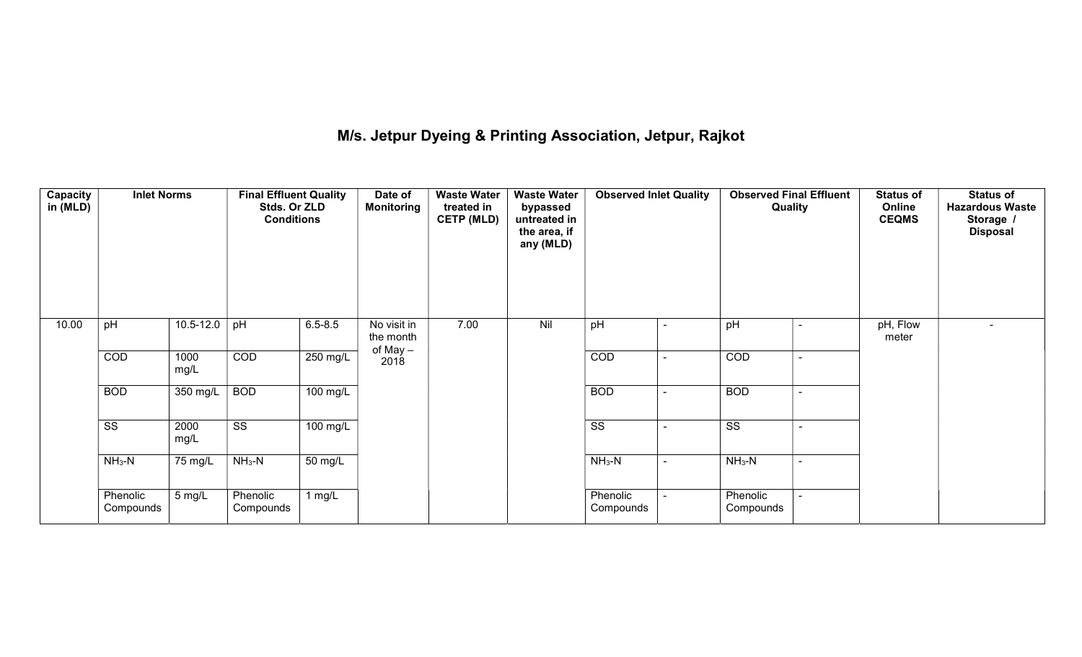## M/s. Jetpur Dyeing & Printing Association, Jetpur, Rajkot

| Capacity<br>in (MLD) | <b>Inlet Norms</b>     |              | <b>Final Effluent Quality</b><br>Stds. Or ZLD<br><b>Conditions</b> |                      | Date of<br><b>Monitoring</b> | <b>Waste Water</b><br>treated in<br><b>CETP (MLD)</b> | <b>Waste Water</b><br>bypassed<br>untreated in<br>the area, if<br>any (MLD) | <b>Observed Inlet Quality</b> |        | <b>Observed Final Effluent</b><br>Quality | <b>Status of</b><br>Online<br><b>CEQMS</b> | <b>Status of</b><br><b>Hazardous Waste</b><br>Storage /<br><b>Disposal</b> |
|----------------------|------------------------|--------------|--------------------------------------------------------------------|----------------------|------------------------------|-------------------------------------------------------|-----------------------------------------------------------------------------|-------------------------------|--------|-------------------------------------------|--------------------------------------------|----------------------------------------------------------------------------|
| 10.00                | pH                     | 10.5-12.0    | pH                                                                 | $6.5 - 8.5$          | No visit in<br>the month     | 7.00                                                  | Nil                                                                         | pH                            |        | pH                                        | pH, Flow<br>meter                          |                                                                            |
|                      | COD                    | 1000<br>mg/L | COD                                                                | 250 mg/L             | of May –<br>2018             |                                                       |                                                                             | COD                           | $\sim$ | COD<br>$\sim$                             |                                            |                                                                            |
|                      | <b>BOD</b>             | 350 mg/L     | <b>BOD</b>                                                         | $100$ mg/L           |                              |                                                       |                                                                             | <b>BOD</b>                    |        | <b>BOD</b><br>$\sim$                      |                                            |                                                                            |
|                      | $\overline{\text{ss}}$ | 2000<br>mg/L | $\overline{\text{ss}}$                                             | $100$ mg/L           |                              |                                                       |                                                                             | $\overline{\text{ss}}$        |        | $\overline{\text{SS}}$                    |                                            |                                                                            |
|                      | $NH3-N$                | 75 mg/L      | $NH3-N$                                                            | $\overline{50}$ mg/L |                              |                                                       |                                                                             | $NH3-N$                       | $\sim$ | $NH3-N$                                   |                                            |                                                                            |
|                      | Phenolic<br>Compounds  | 5 mg/L       | Phenolic<br>Compounds                                              | 1 $mg/L$             |                              |                                                       |                                                                             | Phenolic<br>Compounds         |        | Phenolic<br>Compounds                     |                                            |                                                                            |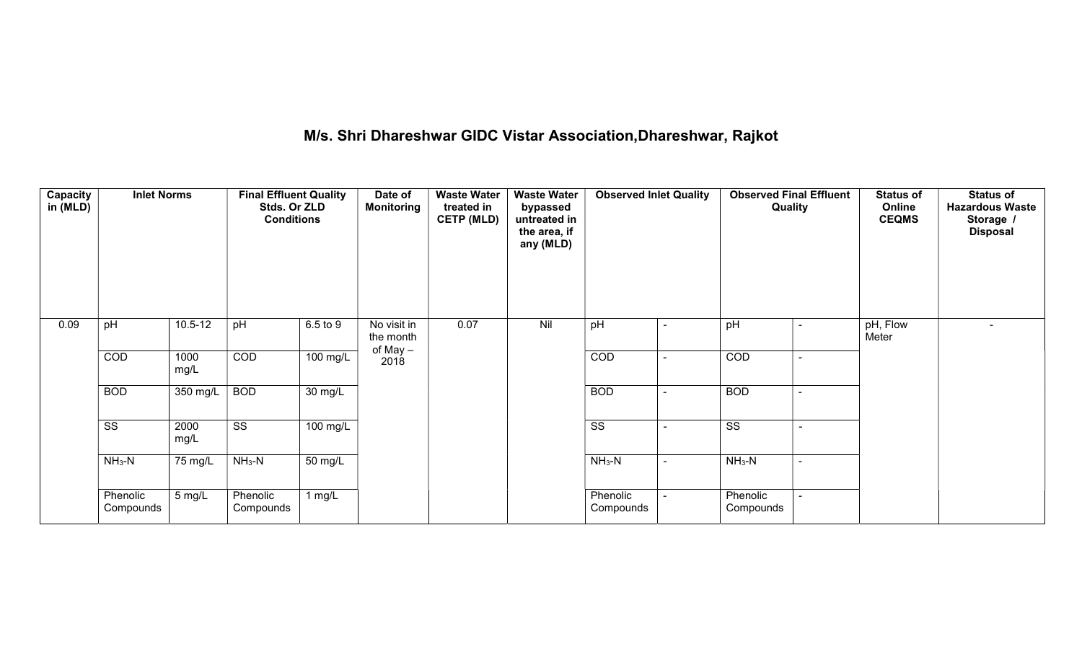## M/s. Shri Dhareshwar GIDC Vistar Association,Dhareshwar, Rajkot

| <b>Capacity</b><br>in (MLD) | <b>Inlet Norms</b>     |              | <b>Final Effluent Quality</b><br>Stds. Or ZLD<br><b>Conditions</b> |                      | Date of<br><b>Monitoring</b> | <b>Waste Water</b><br>treated in<br><b>CETP (MLD)</b> | <b>Waste Water</b><br>bypassed<br>untreated in<br>the area, if<br>any (MLD) | <b>Observed Inlet Quality</b> |                          | <b>Observed Final Effluent</b><br>Quality |  | <b>Status of</b><br>Online<br><b>CEQMS</b> | <b>Status of</b><br><b>Hazardous Waste</b><br>Storage /<br><b>Disposal</b> |
|-----------------------------|------------------------|--------------|--------------------------------------------------------------------|----------------------|------------------------------|-------------------------------------------------------|-----------------------------------------------------------------------------|-------------------------------|--------------------------|-------------------------------------------|--|--------------------------------------------|----------------------------------------------------------------------------|
| 0.09                        | pH                     | $10.5 - 12$  | pH                                                                 | 6.5 to 9             | No visit in<br>the month     | 0.07                                                  | Nil                                                                         | pH                            | $\overline{\phantom{a}}$ | pH                                        |  | pH, Flow<br>Meter                          | $\overline{\phantom{0}}$                                                   |
|                             | COD                    | 1000<br>mg/L | COD                                                                | 100 mg/L             | of May –<br>2018             |                                                       |                                                                             | COD                           | $\overline{\phantom{0}}$ | COD                                       |  |                                            |                                                                            |
|                             | <b>BOD</b>             | 350 mg/L     | <b>BOD</b>                                                         | $\overline{30}$ mg/L |                              |                                                       |                                                                             | <b>BOD</b>                    | $\sim$                   | <b>BOD</b>                                |  |                                            |                                                                            |
|                             | $\overline{\text{ss}}$ | 2000<br>mg/L | $\overline{\text{ss}}$                                             | $100 \text{ mg/L}$   |                              |                                                       |                                                                             | $\overline{\text{SS}}$        |                          | $\overline{\text{SS}}$                    |  |                                            |                                                                            |
|                             | $NH3-N$                | 75 mg/L      | $NH3-N$                                                            | $\overline{50}$ mg/L |                              |                                                       |                                                                             | $NH3-N$                       | $\sim$                   | $NH_3-N$                                  |  |                                            |                                                                            |
|                             | Phenolic<br>Compounds  | 5 mg/L       | Phenolic<br>Compounds                                              | 1 $mg/L$             |                              |                                                       |                                                                             | Phenolic<br>Compounds         |                          | Phenolic<br>Compounds                     |  |                                            |                                                                            |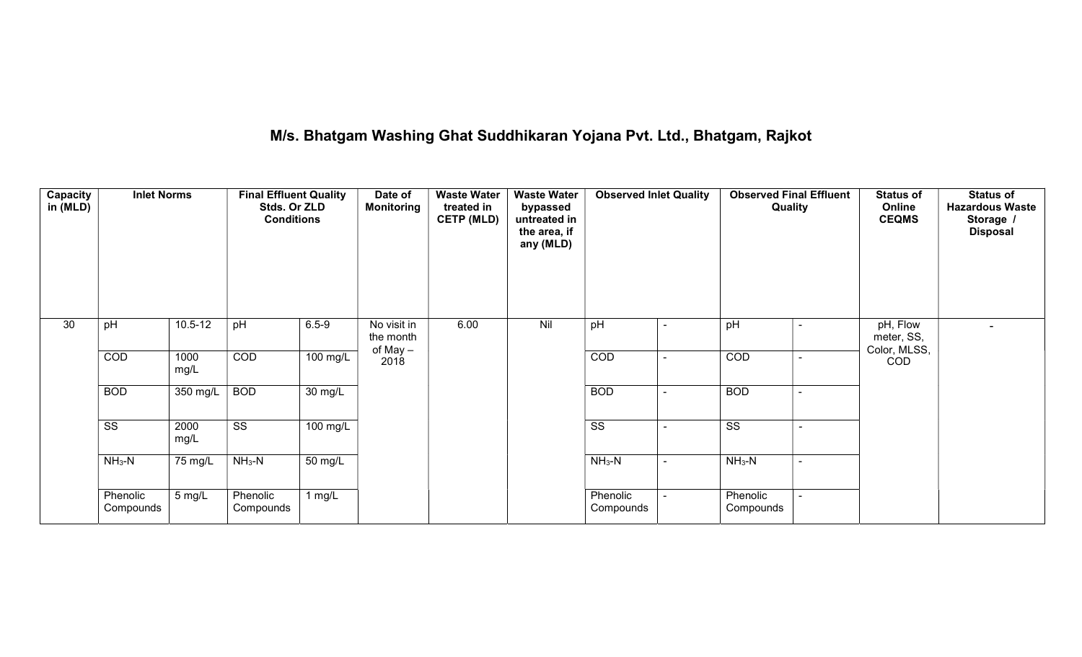## M/s. Bhatgam Washing Ghat Suddhikaran Yojana Pvt. Ltd., Bhatgam, Rajkot

| <b>Capacity</b><br>in (MLD) | <b>Inlet Norms</b>     |              | <b>Final Effluent Quality</b><br>Stds. Or ZLD<br><b>Conditions</b> |                       | Date of<br><b>Monitoring</b>         | <b>Waste Water</b><br>treated in<br><b>CETP (MLD)</b> | <b>Waste Water</b><br>bypassed<br>untreated in<br>the area, if<br>any (MLD) | <b>Observed Inlet Quality</b> |  | <b>Observed Final Effluent</b><br>Quality |                | <b>Status of</b><br>Online<br><b>CEQMS</b> | <b>Status of</b><br><b>Hazardous Waste</b><br>Storage /<br><b>Disposal</b> |
|-----------------------------|------------------------|--------------|--------------------------------------------------------------------|-----------------------|--------------------------------------|-------------------------------------------------------|-----------------------------------------------------------------------------|-------------------------------|--|-------------------------------------------|----------------|--------------------------------------------|----------------------------------------------------------------------------|
| 30                          | pH                     | $10.5 - 12$  | pH                                                                 | $6.5 - 9$             | No visit in<br>the month<br>of May - | 6.00                                                  | Nil                                                                         | pH                            |  | pH                                        |                | pH, Flow<br>meter, SS,<br>Color, MLSS,     | $\blacksquare$                                                             |
|                             | COD                    | 1000<br>mg/L | COD                                                                | $100$ mg/L            | 2018                                 |                                                       |                                                                             | COD                           |  | COD                                       |                | COD                                        |                                                                            |
|                             | <b>BOD</b>             | 350 mg/L     | <b>BOD</b>                                                         | $\overline{30}$ mg/L  |                                      |                                                       |                                                                             | <b>BOD</b>                    |  | <b>BOD</b>                                |                |                                            |                                                                            |
|                             | $\overline{\text{ss}}$ | 2000<br>mg/L | $\overline{\text{ss}}$                                             | $\overline{100}$ mg/L |                                      |                                                       |                                                                             | $\overline{\text{ss}}$        |  | $\overline{\text{ss}}$                    |                |                                            |                                                                            |
|                             | $NH3-N$                | 75 mg/L      | $NH3-N$                                                            | $50 \text{ mg/L}$     |                                      |                                                       |                                                                             | $NH3-N$                       |  | $NH3-N$                                   | $\blacksquare$ |                                            |                                                                            |
|                             | Phenolic<br>Compounds  | 5 mg/L       | Phenolic<br>Compounds                                              | 1 $mg/L$              |                                      |                                                       |                                                                             | Phenolic<br>Compounds         |  | Phenolic<br>Compounds                     | $\overline{a}$ |                                            |                                                                            |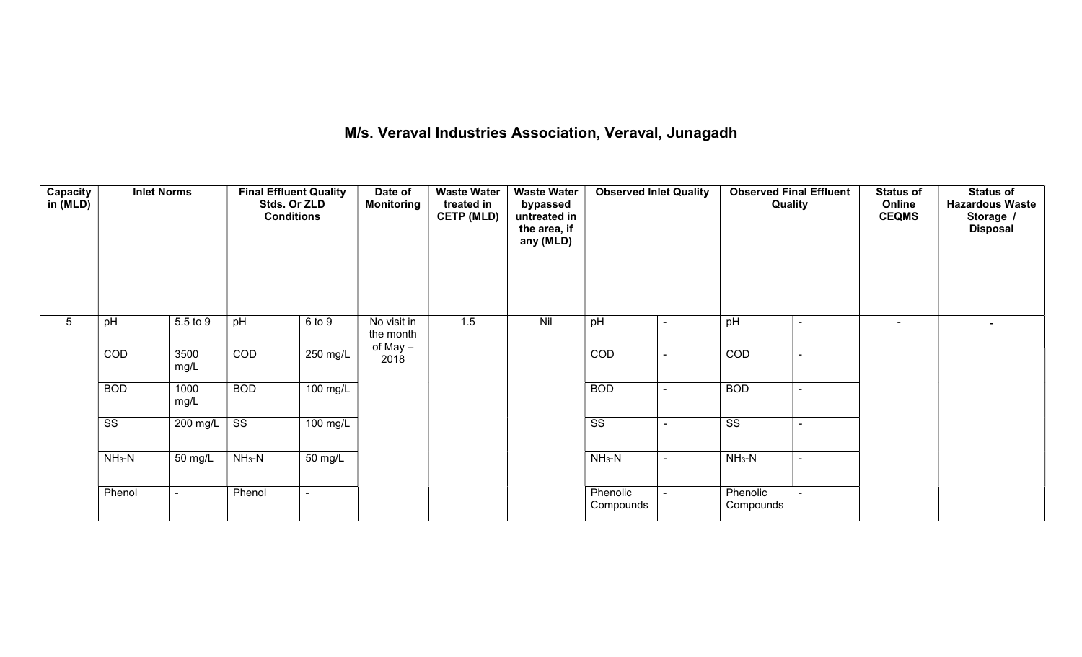## M/s. Veraval Industries Association, Veraval, Junagadh

| <b>Capacity</b><br>in (MLD) | <b>Inlet Norms</b>     |              |                        | <b>Final Effluent Quality</b><br>Stds. Or ZLD<br><b>Conditions</b> |                                      | <b>Waste Water</b><br><b>Monitoring</b><br>treated in<br><b>CETP (MLD)</b> | <b>Waste Water</b><br>bypassed<br>untreated in<br>the area, if<br>any (MLD) | <b>Observed Inlet Quality</b> |                          | <b>Observed Final Effluent</b><br>Quality |                          | <b>Status of</b><br>Online<br><b>CEQMS</b> | <b>Status of</b><br><b>Hazardous Waste</b><br>Storage /<br><b>Disposal</b> |
|-----------------------------|------------------------|--------------|------------------------|--------------------------------------------------------------------|--------------------------------------|----------------------------------------------------------------------------|-----------------------------------------------------------------------------|-------------------------------|--------------------------|-------------------------------------------|--------------------------|--------------------------------------------|----------------------------------------------------------------------------|
| $5\phantom{.0}$             | pH                     | 5.5 to 9     | pH                     | 6 to 9                                                             | No visit in<br>the month<br>of May - | 1.5                                                                        | Nil                                                                         | pH                            |                          | pH                                        | $\blacksquare$           | $\blacksquare$                             |                                                                            |
|                             | COD                    | 3500<br>mg/L | COD                    | $250 \text{ mg/L}$                                                 | 2018                                 |                                                                            |                                                                             | COD                           | $\overline{\phantom{0}}$ | COD                                       | $\blacksquare$           |                                            |                                                                            |
|                             | <b>BOD</b>             | 1000<br>mg/L | <b>BOD</b>             | 100 mg/L                                                           |                                      |                                                                            |                                                                             | <b>BOD</b>                    | $\sim$                   | <b>BOD</b>                                | ٠                        |                                            |                                                                            |
|                             | $\overline{\text{ss}}$ | 200 mg/L     | $\overline{\text{SS}}$ | $\overline{100}$ mg/L                                              |                                      |                                                                            |                                                                             | $\overline{\text{ss}}$        | $\overline{\phantom{a}}$ | $\overline{\text{ss}}$                    | $\overline{\phantom{a}}$ |                                            |                                                                            |
|                             | $NH_3-N$               | 50 mg/L      | $NH_3-N$               | 50 mg/L                                                            |                                      |                                                                            |                                                                             | $NH_3-N$                      | $\blacksquare$           | $NH3-N$                                   | $\blacksquare$           |                                            |                                                                            |
|                             | Phenol                 |              | Phenol                 |                                                                    |                                      |                                                                            |                                                                             | Phenolic<br>Compounds         |                          | Phenolic<br>Compounds                     |                          |                                            |                                                                            |